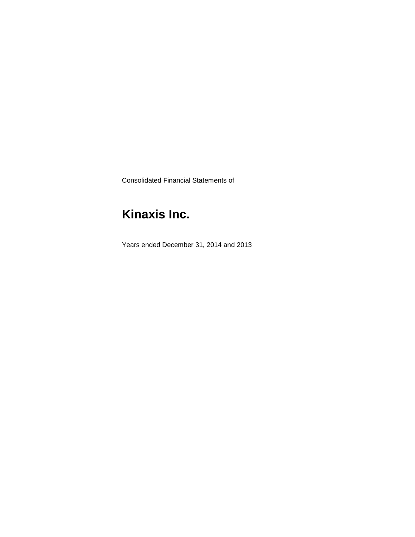Consolidated Financial Statements of

# **Kinaxis Inc.**

Years ended December 31, 2014 and 2013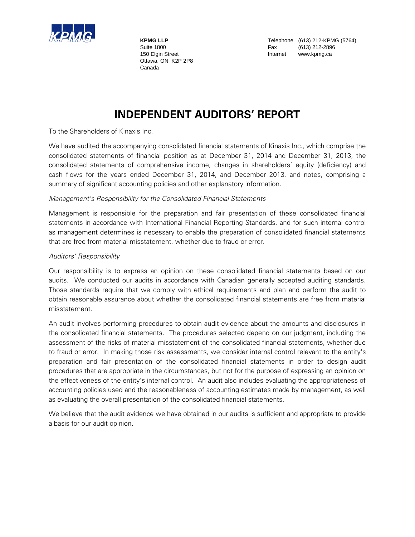

Ottawa, ON K2P 2P8 Canada

**KPMG LLP** Telephone (613) 212-KPMG (5764) Suite 1800 **Fax** (613) 212-2896 150 Elgin Street **Internet** www.kpmg.ca

## **INDEPENDENT AUDITORS' REPORT**

To the Shareholders of Kinaxis Inc.

We have audited the accompanying consolidated financial statements of Kinaxis Inc., which comprise the consolidated statements of financial position as at December 31, 2014 and December 31, 2013, the consolidated statements of comprehensive income, changes in shareholders' equity (deficiency) and cash flows for the years ended December 31, 2014, and December 2013, and notes, comprising a summary of significant accounting policies and other explanatory information.

#### Management's Responsibility for the Consolidated Financial Statements

Management is responsible for the preparation and fair presentation of these consolidated financial statements in accordance with International Financial Reporting Standards, and for such internal control as management determines is necessary to enable the preparation of consolidated financial statements that are free from material misstatement, whether due to fraud or error.

#### Auditors' Responsibility

Our responsibility is to express an opinion on these consolidated financial statements based on our audits. We conducted our audits in accordance with Canadian generally accepted auditing standards. Those standards require that we comply with ethical requirements and plan and perform the audit to obtain reasonable assurance about whether the consolidated financial statements are free from material misstatement.

An audit involves performing procedures to obtain audit evidence about the amounts and disclosures in the consolidated financial statements. The procedures selected depend on our judgment, including the assessment of the risks of material misstatement of the consolidated financial statements, whether due to fraud or error. In making those risk assessments, we consider internal control relevant to the entity's preparation and fair presentation of the consolidated financial statements in order to design audit procedures that are appropriate in the circumstances, but not for the purpose of expressing an opinion on the effectiveness of the entity's internal control. An audit also includes evaluating the appropriateness of accounting policies used and the reasonableness of accounting estimates made by management, as well as evaluating the overall presentation of the consolidated financial statements.

We believe that the audit evidence we have obtained in our audits is sufficient and appropriate to provide a basis for our audit opinion.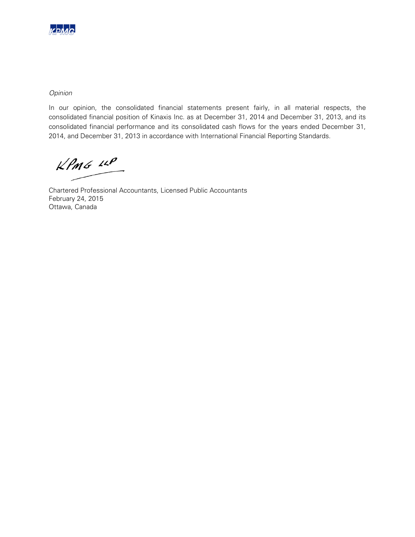

### Opinion

In our opinion, the consolidated financial statements present fairly, in all material respects, the consolidated financial position of Kinaxis Inc. as at December 31, 2014 and December 31, 2013, and its consolidated financial performance and its consolidated cash flows for the years ended December 31, 2014, and December 31, 2013 in accordance with International Financial Reporting Standards.

 $KPMG$  14P

Chartered Professional Accountants, Licensed Public Accountants February 24, 2015 Ottawa, Canada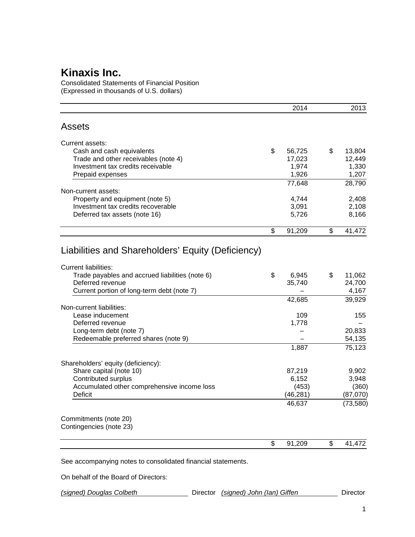Consolidated Statements of Financial Position (Expressed in thousands of U.S. dollars)

|                                                                       | 2014           | 2013           |
|-----------------------------------------------------------------------|----------------|----------------|
| <b>Assets</b>                                                         |                |                |
| Current assets:                                                       |                |                |
| Cash and cash equivalents                                             | \$<br>56,725   | \$<br>13,804   |
| Trade and other receivables (note 4)                                  | 17,023         | 12,449         |
| Investment tax credits receivable                                     | 1,974          | 1,330          |
| Prepaid expenses                                                      | 1,926          | 1,207          |
|                                                                       | 77,648         | 28,790         |
| Non-current assets:                                                   |                |                |
| Property and equipment (note 5)<br>Investment tax credits recoverable | 4,744<br>3,091 | 2,408          |
| Deferred tax assets (note 16)                                         | 5,726          | 2,108<br>8,166 |
|                                                                       |                |                |
|                                                                       | \$<br>91,209   | \$<br>41,472   |
| Liabilities and Shareholders' Equity (Deficiency)                     |                |                |
| <b>Current liabilities:</b>                                           |                |                |
| Trade payables and accrued liabilities (note 6)                       | \$<br>6,945    | \$<br>11,062   |
| Deferred revenue                                                      | 35,740         | 24,700         |
| Current portion of long-term debt (note 7)                            |                | 4,167          |
|                                                                       | 42,685         | 39,929         |
| Non-current liabilities:                                              |                |                |
| Lease inducement<br>Deferred revenue                                  | 109            | 155            |
| Long-term debt (note 7)                                               | 1,778          | 20,833         |
| Redeemable preferred shares (note 9)                                  |                | 54,135         |
|                                                                       | 1,887          | 75,123         |
|                                                                       |                |                |
| Shareholders' equity (deficiency):<br>Share capital (note 10)         | 87,219         | 9,902          |
| Contributed surplus                                                   | 6,152          | 3,948          |
| Accumulated other comprehensive income loss                           | (453)          | (360)          |
| Deficit                                                               | (46, 281)      | (87,070)       |
|                                                                       | 46,637         | (73, 580)      |
| Commitments (note 20)                                                 |                |                |
| Contingencies (note 23)                                               |                |                |
|                                                                       | \$<br>91,209   | \$<br>41,472   |
| See accompanying notes to consolidated financial statements.          |                |                |

On behalf of the Board of Directors: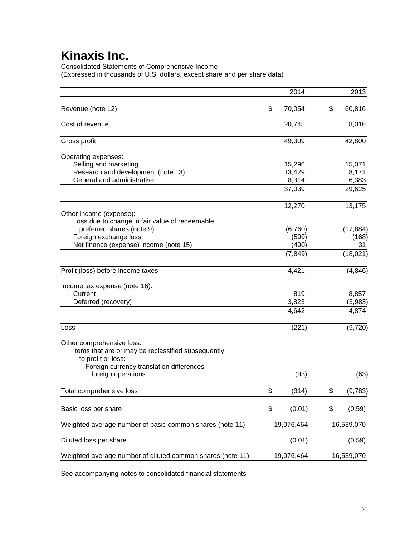Consolidated Statements of Comprehensive Income (Expressed in thousands of U.S. dollars, except share and per share data)

|                                                            | 2014         | 2013          |
|------------------------------------------------------------|--------------|---------------|
| Revenue (note 12)                                          | \$<br>70,054 | \$<br>60,816  |
| Cost of revenue                                            | 20,745       | 18,016        |
| Gross profit                                               | 49,309       | 42,800        |
| Operating expenses:                                        |              |               |
| Selling and marketing                                      | 15,296       | 15,071        |
| Research and development (note 13)                         | 13,429       | 8,171         |
| General and administrative                                 | 8,314        | 6,383         |
|                                                            | 37,039       | 29,625        |
|                                                            | 12,270       | 13,175        |
| Other income (expense):                                    |              |               |
| Loss due to change in fair value of redeemable             |              |               |
| preferred shares (note 9)                                  | (6,760)      | (17, 884)     |
| Foreign exchange loss                                      | (599)        | (168)         |
| Net finance (expense) income (note 15)                     | (490)        | 31            |
|                                                            | (7, 849)     | (18,021)      |
| Profit (loss) before income taxes                          | 4,421        | (4, 846)      |
| Income tax expense (note 16):                              |              |               |
| Current                                                    | 819          | 8,857         |
| Deferred (recovery)                                        | 3,823        | (3,983)       |
|                                                            | 4,642        | 4,874         |
| Loss                                                       | (221)        | (9,720)       |
| Other comprehensive loss:                                  |              |               |
| Items that are or may be reclassified subsequently         |              |               |
| to profit or loss:                                         |              |               |
| Foreign currency translation differences -                 |              |               |
| foreign operations                                         | (93)         | (63)          |
| Total comprehensive loss                                   | \$<br>(314)  | \$<br>(9,783) |
| Basic loss per share                                       | \$<br>(0.01) | \$<br>(0.59)  |
|                                                            |              |               |
| Weighted average number of basic common shares (note 11)   | 19,076,464   | 16,539,070    |
| Diluted loss per share                                     | (0.01)       | (0.59)        |
| Weighted average number of diluted common shares (note 11) | 19,076,464   | 16,539,070    |

See accompanying notes to consolidated financial statements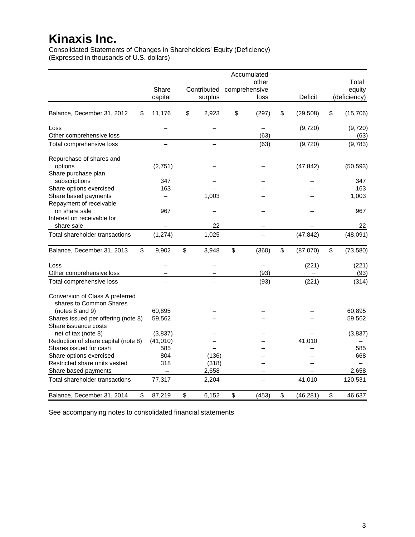Consolidated Statements of Changes in Shareholders' Equity (Deficiency) (Expressed in thousands of U.S. dollars)

|                                                             |           |             | Accumulated   |                 |                 |
|-------------------------------------------------------------|-----------|-------------|---------------|-----------------|-----------------|
|                                                             |           |             | other         |                 | Total           |
|                                                             | Share     | Contributed | comprehensive |                 | equity          |
|                                                             | capital   | surplus     | loss          | <b>Deficit</b>  | (deficiency)    |
| Balance, December 31, 2012<br>\$                            | 11,176    | \$<br>2,923 | \$<br>(297)   | \$<br>(29, 508) | \$<br>(15, 706) |
| Loss                                                        |           |             |               | (9,720)         | (9,720)         |
| Other comprehensive loss                                    |           |             | (63)          |                 | (63)            |
| Total comprehensive loss                                    |           |             | (63)          | (9,720)         | (9,783)         |
| Repurchase of shares and                                    |           |             |               |                 |                 |
| options                                                     | (2,751)   |             |               | (47, 842)       | (50, 593)       |
| Share purchase plan                                         |           |             |               |                 |                 |
| subscriptions                                               | 347       |             |               |                 | 347             |
| Share options exercised                                     | 163       |             |               |                 | 163             |
| Share based payments                                        |           | 1,003       |               |                 | 1,003           |
| Repayment of receivable                                     |           |             |               |                 |                 |
| on share sale                                               | 967       |             |               |                 | 967             |
| Interest on receivable for                                  |           |             |               |                 |                 |
| share sale                                                  |           | 22          |               |                 | 22              |
| Total shareholder transactions                              | (1, 274)  | 1,025       |               | (47, 842)       | (48,091)        |
| \$<br>Balance, December 31, 2013                            | 9,902     | \$<br>3,948 | \$<br>(360)   | \$<br>(87,070)  | \$<br>(73, 580) |
| Loss                                                        |           |             |               | (221)           | (221)           |
| Other comprehensive loss                                    |           |             | (93)          |                 | (93)            |
| Total comprehensive loss                                    |           |             | (93)          | (221)           | (314)           |
| Conversion of Class A preferred<br>shares to Common Shares  |           |             |               |                 |                 |
| (notes 8 and 9)                                             | 60,895    |             |               |                 | 60,895          |
| Shares issued per offering (note 8)<br>Share issuance costs | 59,562    |             |               |                 | 59,562          |
| net of tax (note 8)                                         | (3,837)   |             |               |                 | (3, 837)        |
| Reduction of share capital (note 8)                         | (41, 010) |             |               | 41,010          |                 |
| Shares issued for cash                                      | 585       |             |               |                 | 585             |
| Share options exercised                                     | 804       | (136)       |               |                 | 668             |
| Restricted share units vested                               | 318       | (318)       |               |                 |                 |
| Share based payments                                        |           | 2,658       |               |                 | 2,658           |
| Total shareholder transactions                              | 77,317    | 2,204       |               | 41,010          | 120,531         |
| \$<br>Balance, December 31, 2014                            | 87,219    | \$<br>6,152 | \$<br>(453)   | \$<br>(46, 281) | \$<br>46,637    |

See accompanying notes to consolidated financial statements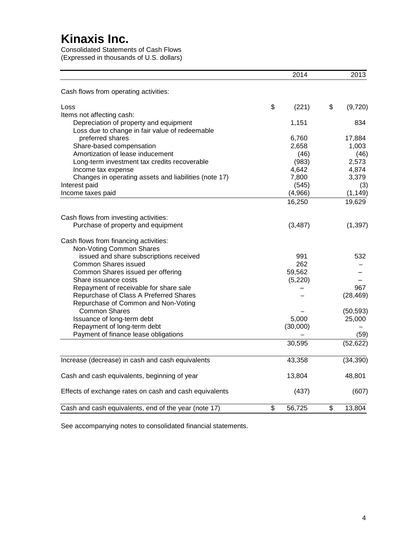Consolidated Statements of Cash Flows (Expressed in thousands of U.S. dollars)

|                                                        | 2014         |                           | 2013      |
|--------------------------------------------------------|--------------|---------------------------|-----------|
| Cash flows from operating activities:                  |              |                           |           |
| Loss                                                   | \$<br>(221)  | \$                        | (9,720)   |
| Items not affecting cash:                              |              |                           |           |
| Depreciation of property and equipment                 | 1,151        |                           | 834       |
| Loss due to change in fair value of redeemable         |              |                           |           |
| preferred shares                                       | 6,760        |                           | 17,884    |
| Share-based compensation                               | 2,658        |                           | 1,003     |
| Amortization of lease inducement                       | (46)         |                           | (46)      |
| Long-term investment tax credits recoverable           | (983)        |                           | 2,573     |
| Income tax expense                                     | 4,642        |                           | 4,874     |
| Changes in operating assets and liabilities (note 17)  | 7,800        |                           | 3,379     |
| Interest paid                                          | (545)        |                           | (3)       |
| Income taxes paid                                      | (4,966)      |                           | (1, 149)  |
|                                                        | 16,250       |                           | 19,629    |
| Cash flows from investing activities:                  |              |                           |           |
| Purchase of property and equipment                     | (3, 487)     |                           | (1, 397)  |
| Cash flows from financing activities:                  |              |                           |           |
| Non-Voting Common Shares                               |              |                           |           |
| issued and share subscriptions received                | 991          |                           | 532       |
| <b>Common Shares issued</b>                            | 262          |                           |           |
| Common Shares issued per offering                      | 59,562       |                           |           |
| Share issuance costs                                   | (5, 220)     |                           |           |
| Repayment of receivable for share sale                 |              |                           | 967       |
| Repurchase of Class A Preferred Shares                 |              |                           | (28, 469) |
| Repurchase of Common and Non-Voting                    |              |                           |           |
| <b>Common Shares</b>                                   |              |                           | (50, 593) |
| Issuance of long-term debt                             | 5,000        |                           | 25,000    |
| Repayment of long-term debt                            | (30,000)     |                           |           |
| Payment of finance lease obligations                   |              |                           | (59)      |
|                                                        | 30,595       |                           | (52, 622) |
| Increase (decrease) in cash and cash equivalents       | 43,358       |                           | (34, 390) |
| Cash and cash equivalents, beginning of year           | 13,804       |                           | 48,801    |
| Effects of exchange rates on cash and cash equivalents | (437)        |                           | (607)     |
| Cash and cash equivalents, end of the year (note 17)   | \$<br>56,725 | $\boldsymbol{\mathsf{S}}$ | 13,804    |

See accompanying notes to consolidated financial statements.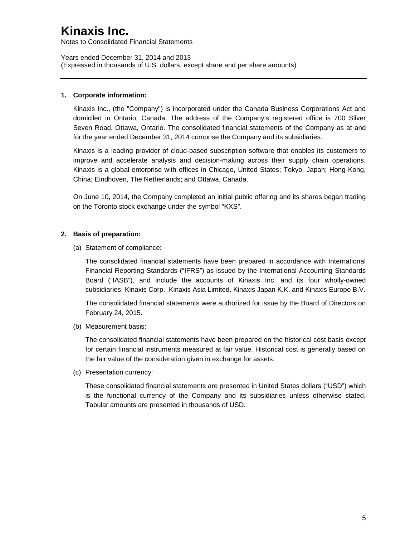Notes to Consolidated Financial Statements

Years ended December 31, 2014 and 2013 (Expressed in thousands of U.S. dollars, except share and per share amounts)

### **1. Corporate information:**

Kinaxis Inc., (the "Company") is incorporated under the Canada Business Corporations Act and domiciled in Ontario, Canada. The address of the Company's registered office is 700 Silver Seven Road, Ottawa, Ontario. The consolidated financial statements of the Company as at and for the year ended December 31, 2014 comprise the Company and its subsidiaries.

Kinaxis is a leading provider of cloud-based subscription software that enables its customers to improve and accelerate analysis and decision-making across their supply chain operations. Kinaxis is a global enterprise with offices in Chicago, United States; Tokyo, Japan; Hong Kong, China; Eindhoven, The Netherlands; and Ottawa, Canada.

On June 10, 2014, the Company completed an initial public offering and its shares began trading on the Toronto stock exchange under the symbol "KXS".

### **2. Basis of preparation:**

(a) Statement of compliance:

The consolidated financial statements have been prepared in accordance with International Financial Reporting Standards ("IFRS") as issued by the International Accounting Standards Board ("IASB"), and include the accounts of Kinaxis Inc. and its four wholly-owned subsidiaries, Kinaxis Corp., Kinaxis Asia Limited, Kinaxis Japan K.K. and Kinaxis Europe B.V.

The consolidated financial statements were authorized for issue by the Board of Directors on February 24, 2015.

(b) Measurement basis:

The consolidated financial statements have been prepared on the historical cost basis except for certain financial instruments measured at fair value. Historical cost is generally based on the fair value of the consideration given in exchange for assets.

(c) Presentation currency:

These consolidated financial statements are presented in United States dollars ("USD") which is the functional currency of the Company and its subsidiaries unless otherwise stated. Tabular amounts are presented in thousands of USD.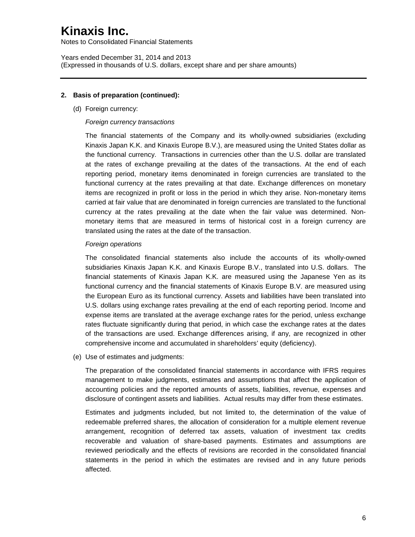Notes to Consolidated Financial Statements

Years ended December 31, 2014 and 2013 (Expressed in thousands of U.S. dollars, except share and per share amounts)

### **2. Basis of preparation (continued):**

(d) Foreign currency:

#### *Foreign currency transactions*

The financial statements of the Company and its wholly-owned subsidiaries (excluding Kinaxis Japan K.K. and Kinaxis Europe B.V.), are measured using the United States dollar as the functional currency. Transactions in currencies other than the U.S. dollar are translated at the rates of exchange prevailing at the dates of the transactions. At the end of each reporting period, monetary items denominated in foreign currencies are translated to the functional currency at the rates prevailing at that date. Exchange differences on monetary items are recognized in profit or loss in the period in which they arise. Non-monetary items carried at fair value that are denominated in foreign currencies are translated to the functional currency at the rates prevailing at the date when the fair value was determined. Nonmonetary items that are measured in terms of historical cost in a foreign currency are translated using the rates at the date of the transaction.

#### *Foreign operations*

The consolidated financial statements also include the accounts of its wholly-owned subsidiaries Kinaxis Japan K.K. and Kinaxis Europe B.V., translated into U.S. dollars. The financial statements of Kinaxis Japan K.K. are measured using the Japanese Yen as its functional currency and the financial statements of Kinaxis Europe B.V. are measured using the European Euro as its functional currency. Assets and liabilities have been translated into U.S. dollars using exchange rates prevailing at the end of each reporting period. Income and expense items are translated at the average exchange rates for the period, unless exchange rates fluctuate significantly during that period, in which case the exchange rates at the dates of the transactions are used. Exchange differences arising, if any, are recognized in other comprehensive income and accumulated in shareholders' equity (deficiency).

(e) Use of estimates and judgments:

The preparation of the consolidated financial statements in accordance with IFRS requires management to make judgments, estimates and assumptions that affect the application of accounting policies and the reported amounts of assets, liabilities, revenue, expenses and disclosure of contingent assets and liabilities. Actual results may differ from these estimates.

Estimates and judgments included, but not limited to, the determination of the value of redeemable preferred shares, the allocation of consideration for a multiple element revenue arrangement, recognition of deferred tax assets, valuation of investment tax credits recoverable and valuation of share-based payments. Estimates and assumptions are reviewed periodically and the effects of revisions are recorded in the consolidated financial statements in the period in which the estimates are revised and in any future periods affected.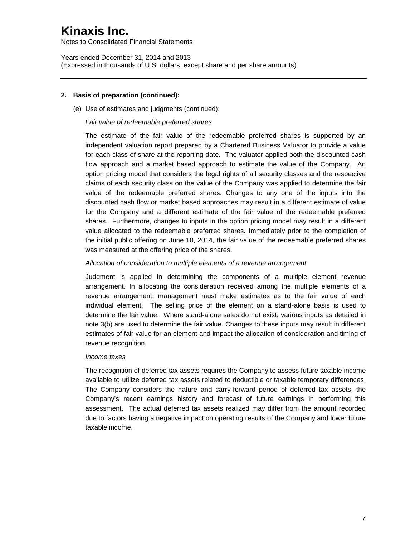Notes to Consolidated Financial Statements

Years ended December 31, 2014 and 2013 (Expressed in thousands of U.S. dollars, except share and per share amounts)

### **2. Basis of preparation (continued):**

(e) Use of estimates and judgments (continued):

#### *Fair value of redeemable preferred shares*

The estimate of the fair value of the redeemable preferred shares is supported by an independent valuation report prepared by a Chartered Business Valuator to provide a value for each class of share at the reporting date. The valuator applied both the discounted cash flow approach and a market based approach to estimate the value of the Company. An option pricing model that considers the legal rights of all security classes and the respective claims of each security class on the value of the Company was applied to determine the fair value of the redeemable preferred shares. Changes to any one of the inputs into the discounted cash flow or market based approaches may result in a different estimate of value for the Company and a different estimate of the fair value of the redeemable preferred shares. Furthermore, changes to inputs in the option pricing model may result in a different value allocated to the redeemable preferred shares. Immediately prior to the completion of the initial public offering on June 10, 2014, the fair value of the redeemable preferred shares was measured at the offering price of the shares.

#### *Allocation of consideration to multiple elements of a revenue arrangement*

Judgment is applied in determining the components of a multiple element revenue arrangement. In allocating the consideration received among the multiple elements of a revenue arrangement, management must make estimates as to the fair value of each individual element. The selling price of the element on a stand-alone basis is used to determine the fair value. Where stand-alone sales do not exist, various inputs as detailed in note 3(b) are used to determine the fair value. Changes to these inputs may result in different estimates of fair value for an element and impact the allocation of consideration and timing of revenue recognition.

#### *Income taxes*

The recognition of deferred tax assets requires the Company to assess future taxable income available to utilize deferred tax assets related to deductible or taxable temporary differences. The Company considers the nature and carry-forward period of deferred tax assets, the Company's recent earnings history and forecast of future earnings in performing this assessment. The actual deferred tax assets realized may differ from the amount recorded due to factors having a negative impact on operating results of the Company and lower future taxable income.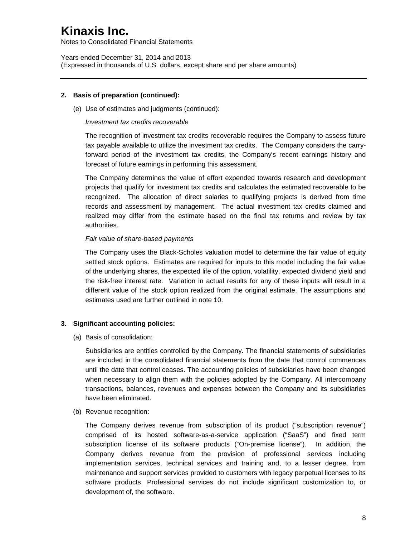Notes to Consolidated Financial Statements

Years ended December 31, 2014 and 2013 (Expressed in thousands of U.S. dollars, except share and per share amounts)

### **2. Basis of preparation (continued):**

(e) Use of estimates and judgments (continued):

#### *Investment tax credits recoverable*

The recognition of investment tax credits recoverable requires the Company to assess future tax payable available to utilize the investment tax credits. The Company considers the carryforward period of the investment tax credits, the Company's recent earnings history and forecast of future earnings in performing this assessment.

The Company determines the value of effort expended towards research and development projects that qualify for investment tax credits and calculates the estimated recoverable to be recognized. The allocation of direct salaries to qualifying projects is derived from time records and assessment by management. The actual investment tax credits claimed and realized may differ from the estimate based on the final tax returns and review by tax authorities.

#### *Fair value of share-based payments*

The Company uses the Black-Scholes valuation model to determine the fair value of equity settled stock options. Estimates are required for inputs to this model including the fair value of the underlying shares, the expected life of the option, volatility, expected dividend yield and the risk-free interest rate. Variation in actual results for any of these inputs will result in a different value of the stock option realized from the original estimate. The assumptions and estimates used are further outlined in note 10.

### **3. Significant accounting policies:**

(a) Basis of consolidation:

Subsidiaries are entities controlled by the Company. The financial statements of subsidiaries are included in the consolidated financial statements from the date that control commences until the date that control ceases. The accounting policies of subsidiaries have been changed when necessary to align them with the policies adopted by the Company. All intercompany transactions, balances, revenues and expenses between the Company and its subsidiaries have been eliminated.

(b) Revenue recognition:

The Company derives revenue from subscription of its product ("subscription revenue") comprised of its hosted software-as-a-service application ("SaaS") and fixed term subscription license of its software products ("On-premise license"). In addition, the Company derives revenue from the provision of professional services including implementation services, technical services and training and, to a lesser degree, from maintenance and support services provided to customers with legacy perpetual licenses to its software products. Professional services do not include significant customization to, or development of, the software.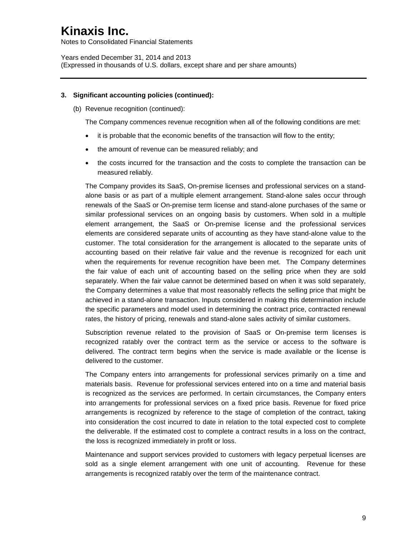Notes to Consolidated Financial Statements

Years ended December 31, 2014 and 2013 (Expressed in thousands of U.S. dollars, except share and per share amounts)

### **3. Significant accounting policies (continued):**

(b) Revenue recognition (continued):

The Company commences revenue recognition when all of the following conditions are met:

- it is probable that the economic benefits of the transaction will flow to the entity;
- the amount of revenue can be measured reliably; and
- the costs incurred for the transaction and the costs to complete the transaction can be measured reliably.

The Company provides its SaaS, On-premise licenses and professional services on a standalone basis or as part of a multiple element arrangement. Stand-alone sales occur through renewals of the SaaS or On-premise term license and stand-alone purchases of the same or similar professional services on an ongoing basis by customers. When sold in a multiple element arrangement, the SaaS or On-premise license and the professional services elements are considered separate units of accounting as they have stand-alone value to the customer. The total consideration for the arrangement is allocated to the separate units of accounting based on their relative fair value and the revenue is recognized for each unit when the requirements for revenue recognition have been met. The Company determines the fair value of each unit of accounting based on the selling price when they are sold separately. When the fair value cannot be determined based on when it was sold separately, the Company determines a value that most reasonably reflects the selling price that might be achieved in a stand-alone transaction. Inputs considered in making this determination include the specific parameters and model used in determining the contract price, contracted renewal rates, the history of pricing, renewals and stand-alone sales activity of similar customers.

Subscription revenue related to the provision of SaaS or On-premise term licenses is recognized ratably over the contract term as the service or access to the software is delivered. The contract term begins when the service is made available or the license is delivered to the customer.

The Company enters into arrangements for professional services primarily on a time and materials basis. Revenue for professional services entered into on a time and material basis is recognized as the services are performed. In certain circumstances, the Company enters into arrangements for professional services on a fixed price basis. Revenue for fixed price arrangements is recognized by reference to the stage of completion of the contract, taking into consideration the cost incurred to date in relation to the total expected cost to complete the deliverable. If the estimated cost to complete a contract results in a loss on the contract, the loss is recognized immediately in profit or loss.

Maintenance and support services provided to customers with legacy perpetual licenses are sold as a single element arrangement with one unit of accounting. Revenue for these arrangements is recognized ratably over the term of the maintenance contract.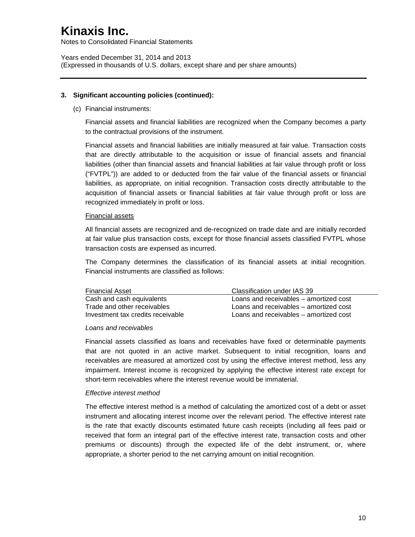Notes to Consolidated Financial Statements

Years ended December 31, 2014 and 2013 (Expressed in thousands of U.S. dollars, except share and per share amounts)

### **3. Significant accounting policies (continued):**

(c) Financial instruments:

Financial assets and financial liabilities are recognized when the Company becomes a party to the contractual provisions of the instrument.

Financial assets and financial liabilities are initially measured at fair value. Transaction costs that are directly attributable to the acquisition or issue of financial assets and financial liabilities (other than financial assets and financial liabilities at fair value through profit or loss ("FVTPL")) are added to or deducted from the fair value of the financial assets or financial liabilities, as appropriate, on initial recognition. Transaction costs directly attributable to the acquisition of financial assets or financial liabilities at fair value through profit or loss are recognized immediately in profit or loss.

#### Financial assets

All financial assets are recognized and de-recognized on trade date and are initially recorded at fair value plus transaction costs, except for those financial assets classified FVTPL whose transaction costs are expensed as incurred.

The Company determines the classification of its financial assets at initial recognition. Financial instruments are classified as follows:

| Financial Asset                   | Classification under IAS 39            |
|-----------------------------------|----------------------------------------|
| Cash and cash equivalents         | Loans and receivables – amortized cost |
| Trade and other receivables       | Loans and receivables – amortized cost |
| Investment tax credits receivable | Loans and receivables – amortized cost |

#### *Loans and receivables*

Financial assets classified as loans and receivables have fixed or determinable payments that are not quoted in an active market. Subsequent to initial recognition, loans and receivables are measured at amortized cost by using the effective interest method, less any impairment. Interest income is recognized by applying the effective interest rate except for short-term receivables where the interest revenue would be immaterial.

### *Effective interest method*

The effective interest method is a method of calculating the amortized cost of a debt or asset instrument and allocating interest income over the relevant period. The effective interest rate is the rate that exactly discounts estimated future cash receipts (including all fees paid or received that form an integral part of the effective interest rate, transaction costs and other premiums or discounts) through the expected life of the debt instrument, or, where appropriate, a shorter period to the net carrying amount on initial recognition.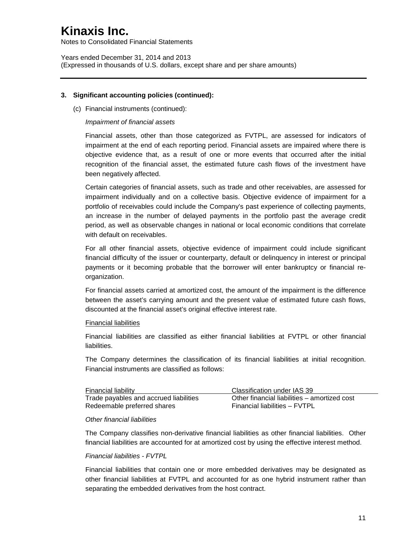Notes to Consolidated Financial Statements

Years ended December 31, 2014 and 2013 (Expressed in thousands of U.S. dollars, except share and per share amounts)

### **3. Significant accounting policies (continued):**

(c) Financial instruments (continued):

#### *Impairment of financial assets*

Financial assets, other than those categorized as FVTPL, are assessed for indicators of impairment at the end of each reporting period. Financial assets are impaired where there is objective evidence that, as a result of one or more events that occurred after the initial recognition of the financial asset, the estimated future cash flows of the investment have been negatively affected.

Certain categories of financial assets, such as trade and other receivables, are assessed for impairment individually and on a collective basis. Objective evidence of impairment for a portfolio of receivables could include the Company's past experience of collecting payments, an increase in the number of delayed payments in the portfolio past the average credit period, as well as observable changes in national or local economic conditions that correlate with default on receivables.

For all other financial assets, objective evidence of impairment could include significant financial difficulty of the issuer or counterparty, default or delinquency in interest or principal payments or it becoming probable that the borrower will enter bankruptcy or financial reorganization.

For financial assets carried at amortized cost, the amount of the impairment is the difference between the asset's carrying amount and the present value of estimated future cash flows, discounted at the financial asset's original effective interest rate.

#### Financial liabilities

Financial liabilities are classified as either financial liabilities at FVTPL or other financial liabilities.

The Company determines the classification of its financial liabilities at initial recognition. Financial instruments are classified as follows:

| <b>Financial liability</b>             | Classification under IAS 39                  |
|----------------------------------------|----------------------------------------------|
| Trade payables and accrued liabilities | Other financial liabilities – amortized cost |
| Redeemable preferred shares            | Financial liabilities - FVTPL                |

#### *Other financial liabilities*

The Company classifies non-derivative financial liabilities as other financial liabilities. Other financial liabilities are accounted for at amortized cost by using the effective interest method.

#### *Financial liabilities - FVTPL*

Financial liabilities that contain one or more embedded derivatives may be designated as other financial liabilities at FVTPL and accounted for as one hybrid instrument rather than separating the embedded derivatives from the host contract.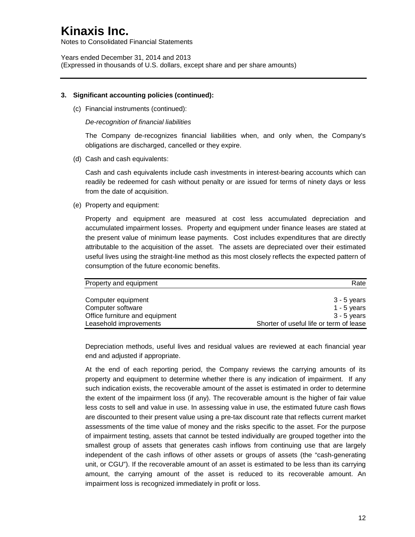Notes to Consolidated Financial Statements

Years ended December 31, 2014 and 2013 (Expressed in thousands of U.S. dollars, except share and per share amounts)

#### **3. Significant accounting policies (continued):**

(c) Financial instruments (continued):

*De-recognition of financial liabilities*

The Company de-recognizes financial liabilities when, and only when, the Company's obligations are discharged, cancelled or they expire.

(d) Cash and cash equivalents:

Cash and cash equivalents include cash investments in interest-bearing accounts which can readily be redeemed for cash without penalty or are issued for terms of ninety days or less from the date of acquisition.

(e) Property and equipment:

Property and equipment are measured at cost less accumulated depreciation and accumulated impairment losses. Property and equipment under finance leases are stated at the present value of minimum lease payments. Cost includes expenditures that are directly attributable to the acquisition of the asset. The assets are depreciated over their estimated useful lives using the straight-line method as this most closely reflects the expected pattern of consumption of the future economic benefits.

| Property and equipment         | Rate                                    |
|--------------------------------|-----------------------------------------|
|                                |                                         |
| Computer equipment             | 3 - 5 years                             |
| Computer software              | 1 - 5 years                             |
| Office furniture and equipment | 3 - 5 years                             |
| Leasehold improvements         | Shorter of useful life or term of lease |

Depreciation methods, useful lives and residual values are reviewed at each financial year end and adjusted if appropriate.

At the end of each reporting period, the Company reviews the carrying amounts of its property and equipment to determine whether there is any indication of impairment. If any such indication exists, the recoverable amount of the asset is estimated in order to determine the extent of the impairment loss (if any). The recoverable amount is the higher of fair value less costs to sell and value in use. In assessing value in use, the estimated future cash flows are discounted to their present value using a pre-tax discount rate that reflects current market assessments of the time value of money and the risks specific to the asset. For the purpose of impairment testing, assets that cannot be tested individually are grouped together into the smallest group of assets that generates cash inflows from continuing use that are largely independent of the cash inflows of other assets or groups of assets (the "cash-generating unit, or CGU"). If the recoverable amount of an asset is estimated to be less than its carrying amount, the carrying amount of the asset is reduced to its recoverable amount. An impairment loss is recognized immediately in profit or loss.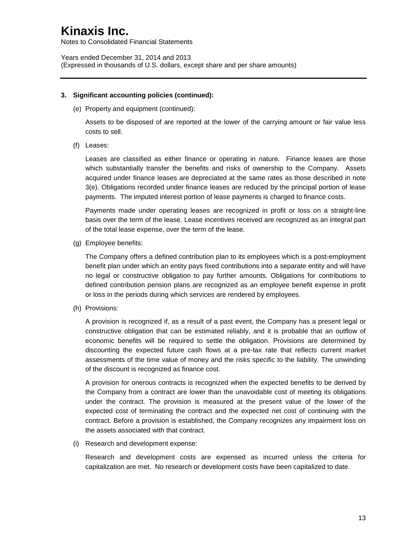Notes to Consolidated Financial Statements

Years ended December 31, 2014 and 2013 (Expressed in thousands of U.S. dollars, except share and per share amounts)

### **3. Significant accounting policies (continued):**

(e) Property and equipment (continued):

Assets to be disposed of are reported at the lower of the carrying amount or fair value less costs to sell.

(f) Leases:

Leases are classified as either finance or operating in nature. Finance leases are those which substantially transfer the benefits and risks of ownership to the Company. Assets acquired under finance leases are depreciated at the same rates as those described in note 3(e). Obligations recorded under finance leases are reduced by the principal portion of lease payments. The imputed interest portion of lease payments is charged to finance costs.

Payments made under operating leases are recognized in profit or loss on a straight-line basis over the term of the lease. Lease incentives received are recognized as an integral part of the total lease expense, over the term of the lease.

(g) Employee benefits:

The Company offers a defined contribution plan to its employees which is a post-employment benefit plan under which an entity pays fixed contributions into a separate entity and will have no legal or constructive obligation to pay further amounts. Obligations for contributions to defined contribution pension plans are recognized as an employee benefit expense in profit or loss in the periods during which services are rendered by employees.

(h) Provisions:

A provision is recognized if, as a result of a past event, the Company has a present legal or constructive obligation that can be estimated reliably, and it is probable that an outflow of economic benefits will be required to settle the obligation. Provisions are determined by discounting the expected future cash flows at a pre-tax rate that reflects current market assessments of the time value of money and the risks specific to the liability. The unwinding of the discount is recognized as finance cost.

A provision for onerous contracts is recognized when the expected benefits to be derived by the Company from a contract are lower than the unavoidable cost of meeting its obligations under the contract. The provision is measured at the present value of the lower of the expected cost of terminating the contract and the expected net cost of continuing with the contract. Before a provision is established, the Company recognizes any impairment loss on the assets associated with that contract.

(i) Research and development expense:

Research and development costs are expensed as incurred unless the criteria for capitalization are met. No research or development costs have been capitalized to date.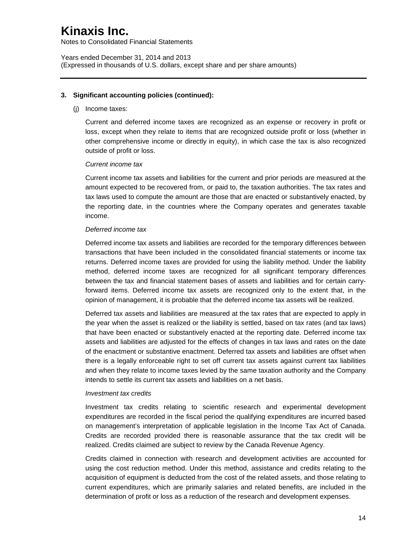Notes to Consolidated Financial Statements

Years ended December 31, 2014 and 2013 (Expressed in thousands of U.S. dollars, except share and per share amounts)

### **3. Significant accounting policies (continued):**

(j) Income taxes:

Current and deferred income taxes are recognized as an expense or recovery in profit or loss, except when they relate to items that are recognized outside profit or loss (whether in other comprehensive income or directly in equity), in which case the tax is also recognized outside of profit or loss.

### *Current income tax*

Current income tax assets and liabilities for the current and prior periods are measured at the amount expected to be recovered from, or paid to, the taxation authorities. The tax rates and tax laws used to compute the amount are those that are enacted or substantively enacted, by the reporting date, in the countries where the Company operates and generates taxable income.

#### *Deferred income tax*

Deferred income tax assets and liabilities are recorded for the temporary differences between transactions that have been included in the consolidated financial statements or income tax returns. Deferred income taxes are provided for using the liability method. Under the liability method, deferred income taxes are recognized for all significant temporary differences between the tax and financial statement bases of assets and liabilities and for certain carryforward items. Deferred income tax assets are recognized only to the extent that, in the opinion of management, it is probable that the deferred income tax assets will be realized.

Deferred tax assets and liabilities are measured at the tax rates that are expected to apply in the year when the asset is realized or the liability is settled, based on tax rates (and tax laws) that have been enacted or substantively enacted at the reporting date. Deferred income tax assets and liabilities are adjusted for the effects of changes in tax laws and rates on the date of the enactment or substantive enactment. Deferred tax assets and liabilities are offset when there is a legally enforceable right to set off current tax assets against current tax liabilities and when they relate to income taxes levied by the same taxation authority and the Company intends to settle its current tax assets and liabilities on a net basis.

#### *Investment tax credits*

Investment tax credits relating to scientific research and experimental development expenditures are recorded in the fiscal period the qualifying expenditures are incurred based on management's interpretation of applicable legislation in the Income Tax Act of Canada. Credits are recorded provided there is reasonable assurance that the tax credit will be realized. Credits claimed are subject to review by the Canada Revenue Agency.

Credits claimed in connection with research and development activities are accounted for using the cost reduction method. Under this method, assistance and credits relating to the acquisition of equipment is deducted from the cost of the related assets, and those relating to current expenditures, which are primarily salaries and related benefits, are included in the determination of profit or loss as a reduction of the research and development expenses.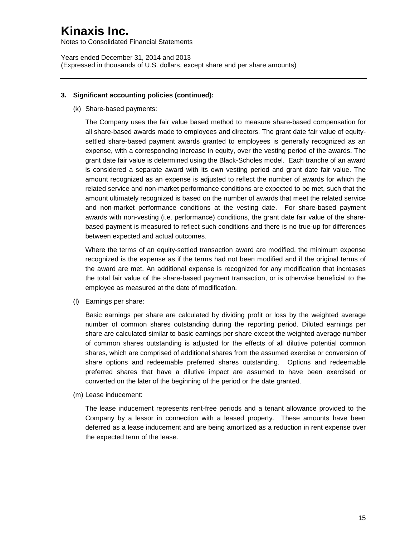Notes to Consolidated Financial Statements

Years ended December 31, 2014 and 2013 (Expressed in thousands of U.S. dollars, except share and per share amounts)

### **3. Significant accounting policies (continued):**

(k) Share-based payments:

The Company uses the fair value based method to measure share-based compensation for all share-based awards made to employees and directors. The grant date fair value of equitysettled share-based payment awards granted to employees is generally recognized as an expense, with a corresponding increase in equity, over the vesting period of the awards. The grant date fair value is determined using the Black-Scholes model. Each tranche of an award is considered a separate award with its own vesting period and grant date fair value. The amount recognized as an expense is adjusted to reflect the number of awards for which the related service and non-market performance conditions are expected to be met, such that the amount ultimately recognized is based on the number of awards that meet the related service and non-market performance conditions at the vesting date. For share-based payment awards with non-vesting (i.e. performance) conditions, the grant date fair value of the sharebased payment is measured to reflect such conditions and there is no true-up for differences between expected and actual outcomes.

Where the terms of an equity-settled transaction award are modified, the minimum expense recognized is the expense as if the terms had not been modified and if the original terms of the award are met. An additional expense is recognized for any modification that increases the total fair value of the share-based payment transaction, or is otherwise beneficial to the employee as measured at the date of modification.

(l) Earnings per share:

Basic earnings per share are calculated by dividing profit or loss by the weighted average number of common shares outstanding during the reporting period. Diluted earnings per share are calculated similar to basic earnings per share except the weighted average number of common shares outstanding is adjusted for the effects of all dilutive potential common shares, which are comprised of additional shares from the assumed exercise or conversion of share options and redeemable preferred shares outstanding. Options and redeemable preferred shares that have a dilutive impact are assumed to have been exercised or converted on the later of the beginning of the period or the date granted.

(m) Lease inducement:

The lease inducement represents rent-free periods and a tenant allowance provided to the Company by a lessor in connection with a leased property. These amounts have been deferred as a lease inducement and are being amortized as a reduction in rent expense over the expected term of the lease.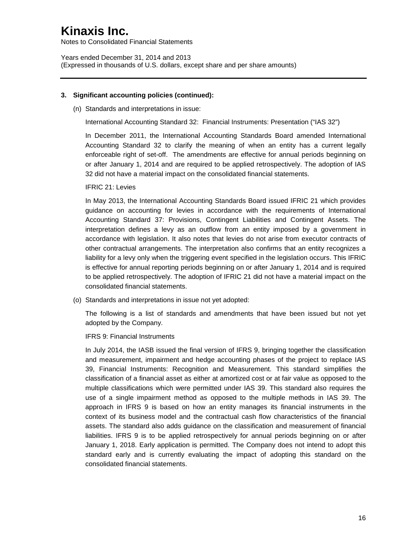Notes to Consolidated Financial Statements

Years ended December 31, 2014 and 2013 (Expressed in thousands of U.S. dollars, except share and per share amounts)

#### **3. Significant accounting policies (continued):**

(n) Standards and interpretations in issue:

International Accounting Standard 32: Financial Instruments: Presentation ("IAS 32")

In December 2011, the International Accounting Standards Board amended International Accounting Standard 32 to clarify the meaning of when an entity has a current legally enforceable right of set-off. The amendments are effective for annual periods beginning on or after January 1, 2014 and are required to be applied retrospectively. The adoption of IAS 32 did not have a material impact on the consolidated financial statements.

IFRIC 21: Levies

In May 2013, the International Accounting Standards Board issued IFRIC 21 which provides guidance on accounting for levies in accordance with the requirements of International Accounting Standard 37: Provisions, Contingent Liabilities and Contingent Assets. The interpretation defines a levy as an outflow from an entity imposed by a government in accordance with legislation. It also notes that levies do not arise from executor contracts of other contractual arrangements. The interpretation also confirms that an entity recognizes a liability for a levy only when the triggering event specified in the legislation occurs. This IFRIC is effective for annual reporting periods beginning on or after January 1, 2014 and is required to be applied retrospectively. The adoption of IFRIC 21 did not have a material impact on the consolidated financial statements.

(o) Standards and interpretations in issue not yet adopted:

The following is a list of standards and amendments that have been issued but not yet adopted by the Company.

IFRS 9: Financial Instruments

In July 2014, the IASB issued the final version of IFRS 9, bringing together the classification and measurement, impairment and hedge accounting phases of the project to replace IAS 39, Financial Instruments: Recognition and Measurement. This standard simplifies the classification of a financial asset as either at amortized cost or at fair value as opposed to the multiple classifications which were permitted under IAS 39. This standard also requires the use of a single impairment method as opposed to the multiple methods in IAS 39. The approach in IFRS 9 is based on how an entity manages its financial instruments in the context of its business model and the contractual cash flow characteristics of the financial assets. The standard also adds guidance on the classification and measurement of financial liabilities. IFRS 9 is to be applied retrospectively for annual periods beginning on or after January 1, 2018. Early application is permitted. The Company does not intend to adopt this standard early and is currently evaluating the impact of adopting this standard on the consolidated financial statements.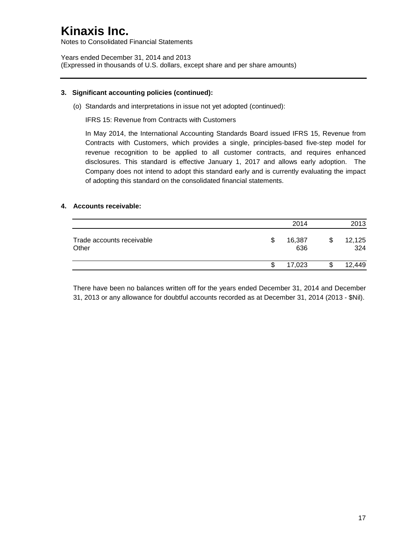Notes to Consolidated Financial Statements

Years ended December 31, 2014 and 2013 (Expressed in thousands of U.S. dollars, except share and per share amounts)

### **3. Significant accounting policies (continued):**

(o) Standards and interpretations in issue not yet adopted (continued):

IFRS 15: Revenue from Contracts with Customers

In May 2014, the International Accounting Standards Board issued IFRS 15, Revenue from Contracts with Customers, which provides a single, principles-based five-step model for revenue recognition to be applied to all customer contracts, and requires enhanced disclosures. This standard is effective January 1, 2017 and allows early adoption. The Company does not intend to adopt this standard early and is currently evaluating the impact of adopting this standard on the consolidated financial statements.

### **4. Accounts receivable:**

|                                    |     | 2014          | 2013          |
|------------------------------------|-----|---------------|---------------|
| Trade accounts receivable<br>Other | \$. | 16,387<br>636 | 12,125<br>324 |
|                                    | S   | 17,023        | 12,449        |

There have been no balances written off for the years ended December 31, 2014 and December 31, 2013 or any allowance for doubtful accounts recorded as at December 31, 2014 (2013 - \$Nil).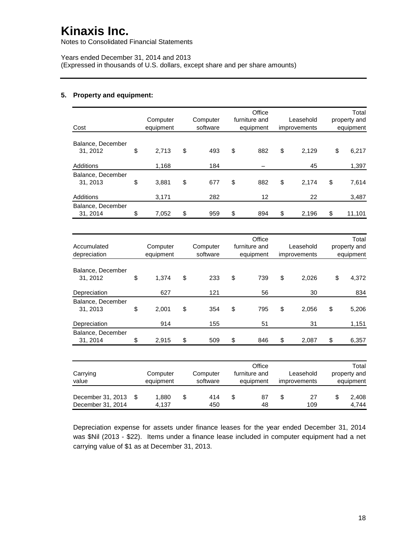Notes to Consolidated Financial Statements

Years ended December 31, 2014 and 2013 (Expressed in thousands of U.S. dollars, except share and per share amounts)

### **5. Property and equipment:**

|                                        | Computer              | Computer             | Office<br>furniture and              | Leasehold                 | Total<br>property and              |
|----------------------------------------|-----------------------|----------------------|--------------------------------------|---------------------------|------------------------------------|
| Cost                                   | equipment             | software             | equipment                            | improvements              | equipment                          |
| Balance, December<br>31, 2012          | \$<br>2,713           | \$<br>493            | \$<br>882                            | \$<br>2,129               | \$<br>6,217                        |
| Additions                              | 1,168                 | 184                  |                                      | 45                        | 1,397                              |
| Balance, December<br>31, 2013          | \$<br>3,881           | \$<br>677            | \$<br>882                            | \$<br>2,174               | \$<br>7,614                        |
| Additions                              | 3,171                 | 282                  | 12                                   | 22                        | 3,487                              |
| Balance, December<br>31, 2014          | \$<br>7,052           | \$<br>959            | \$<br>894                            | \$<br>2,196               | \$<br>11,101                       |
|                                        |                       |                      |                                      |                           |                                    |
| Accumulated<br>depreciation            | Computer<br>equipment | Computer<br>software | Office<br>furniture and<br>equipment | Leasehold<br>improvements | Total<br>property and<br>equipment |
| Balance, December<br>31, 2012          | \$<br>1,374           | \$<br>233            | \$<br>739                            | \$<br>2,026               | \$<br>4,372                        |
| Depreciation                           | 627                   | 121                  | 56                                   | 30                        | 834                                |
| Balance, December<br>31, 2013          | \$<br>2,001           | \$<br>354            | \$<br>795                            | \$<br>2,056               | \$<br>5,206                        |
| Depreciation                           | 914                   | 155                  | 51                                   | 31                        | 1,151                              |
| Balance, December<br>31, 2014          | \$<br>2,915           | \$<br>509            | \$<br>846                            | \$<br>2,087               | \$<br>6,357                        |
|                                        |                       |                      |                                      |                           |                                    |
| Carrying<br>value                      | Computer<br>equipment | Computer<br>software | Office<br>furniture and<br>equipment | Leasehold<br>improvements | Total<br>property and<br>equipment |
| December 31, 2013<br>December 31, 2014 | \$<br>1,880<br>4,137  | \$<br>414<br>450     | \$<br>87<br>48                       | \$<br>27<br>109           | \$<br>2,408<br>4,744               |

Depreciation expense for assets under finance leases for the year ended December 31, 2014 was \$Nil (2013 - \$22). Items under a finance lease included in computer equipment had a net carrying value of \$1 as at December 31, 2013.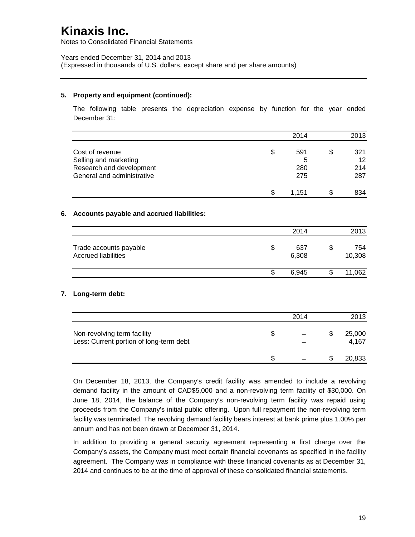Notes to Consolidated Financial Statements

Years ended December 31, 2014 and 2013 (Expressed in thousands of U.S. dollars, except share and per share amounts)

### **5. Property and equipment (continued):**

The following table presents the depreciation expense by function for the year ended December 31:

|                                                                                                    | 2014                         | 2013                          |
|----------------------------------------------------------------------------------------------------|------------------------------|-------------------------------|
| Cost of revenue<br>Selling and marketing<br>Research and development<br>General and administrative | \$<br>591<br>5<br>280<br>275 | \$<br>321<br>12<br>214<br>287 |
|                                                                                                    | \$<br>1,151                  | \$<br>834                     |
| 6.<br>Accounts payable and accrued liabilities:                                                    |                              |                               |
|                                                                                                    | 2014                         | 2013                          |
| Trade accounts payable<br><b>Accrued liabilities</b>                                               | \$<br>637<br>6,308           | \$<br>754<br>10,308           |
|                                                                                                    | \$<br>6,945                  | \$<br>11,062                  |
| Long-term debt:<br>7.                                                                              |                              |                               |
|                                                                                                    | 2014                         | 2013                          |
| Non-revolving term facility<br>Less: Current portion of long-term debt                             | \$                           | \$<br>25,000<br>4,167         |
|                                                                                                    | \$                           | \$<br>20,833                  |

On December 18, 2013, the Company's credit facility was amended to include a revolving demand facility in the amount of CAD\$5,000 and a non-revolving term facility of \$30,000. On June 18, 2014, the balance of the Company's non-revolving term facility was repaid using proceeds from the Company's initial public offering. Upon full repayment the non-revolving term facility was terminated. The revolving demand facility bears interest at bank prime plus 1.00% per annum and has not been drawn at December 31, 2014.

In addition to providing a general security agreement representing a first charge over the Company's assets, the Company must meet certain financial covenants as specified in the facility agreement. The Company was in compliance with these financial covenants as at December 31, 2014 and continues to be at the time of approval of these consolidated financial statements.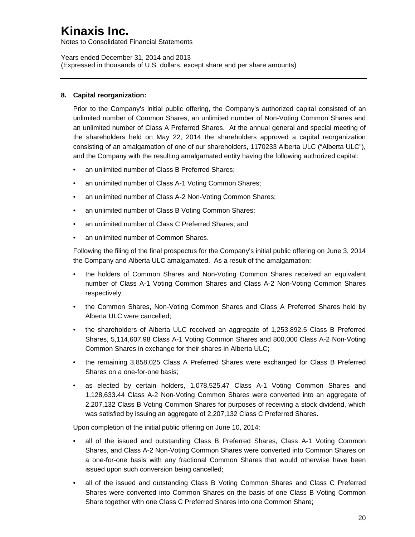Notes to Consolidated Financial Statements

Years ended December 31, 2014 and 2013 (Expressed in thousands of U.S. dollars, except share and per share amounts)

### **8. Capital reorganization:**

Prior to the Company's initial public offering, the Company's authorized capital consisted of an unlimited number of Common Shares, an unlimited number of Non-Voting Common Shares and an unlimited number of Class A Preferred Shares. At the annual general and special meeting of the shareholders held on May 22, 2014 the shareholders approved a capital reorganization consisting of an amalgamation of one of our shareholders, 1170233 Alberta ULC ("Alberta ULC"), and the Company with the resulting amalgamated entity having the following authorized capital:

- an unlimited number of Class B Preferred Shares:
- an unlimited number of Class A-1 Voting Common Shares;
- an unlimited number of Class A-2 Non-Voting Common Shares;
- an unlimited number of Class B Voting Common Shares;
- an unlimited number of Class C Preferred Shares; and
- an unlimited number of Common Shares.

Following the filing of the final prospectus for the Company's initial public offering on June 3, 2014 the Company and Alberta ULC amalgamated. As a result of the amalgamation:

- the holders of Common Shares and Non-Voting Common Shares received an equivalent number of Class A-1 Voting Common Shares and Class A-2 Non-Voting Common Shares respectively;
- the Common Shares, Non-Voting Common Shares and Class A Preferred Shares held by Alberta ULC were cancelled;
- the shareholders of Alberta ULC received an aggregate of 1,253,892.5 Class B Preferred Shares, 5,114,607.98 Class A-1 Voting Common Shares and 800,000 Class A-2 Non-Voting Common Shares in exchange for their shares in Alberta ULC;
- the remaining 3,858,025 Class A Preferred Shares were exchanged for Class B Preferred Shares on a one-for-one basis;
- as elected by certain holders, 1,078,525.47 Class A-1 Voting Common Shares and 1,128,633.44 Class A-2 Non-Voting Common Shares were converted into an aggregate of 2,207,132 Class B Voting Common Shares for purposes of receiving a stock dividend, which was satisfied by issuing an aggregate of 2,207,132 Class C Preferred Shares.

Upon completion of the initial public offering on June 10, 2014:

- all of the issued and outstanding Class B Preferred Shares, Class A-1 Voting Common Shares, and Class A-2 Non-Voting Common Shares were converted into Common Shares on a one-for-one basis with any fractional Common Shares that would otherwise have been issued upon such conversion being cancelled;
- all of the issued and outstanding Class B Voting Common Shares and Class C Preferred Shares were converted into Common Shares on the basis of one Class B Voting Common Share together with one Class C Preferred Shares into one Common Share;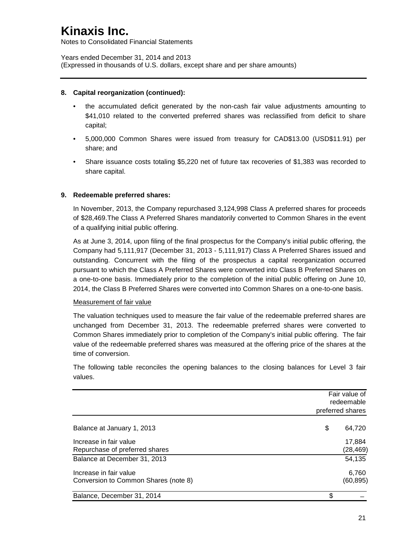Notes to Consolidated Financial Statements

Years ended December 31, 2014 and 2013 (Expressed in thousands of U.S. dollars, except share and per share amounts)

### **8. Capital reorganization (continued):**

- the accumulated deficit generated by the non-cash fair value adjustments amounting to \$41,010 related to the converted preferred shares was reclassified from deficit to share capital;
- 5,000,000 Common Shares were issued from treasury for CAD\$13.00 (USD\$11.91) per share; and
- Share issuance costs totaling \$5,220 net of future tax recoveries of \$1,383 was recorded to share capital.

### **9. Redeemable preferred shares:**

In November, 2013, the Company repurchased 3,124,998 Class A preferred shares for proceeds of \$28,469.The Class A Preferred Shares mandatorily converted to Common Shares in the event of a qualifying initial public offering.

As at June 3, 2014, upon filing of the final prospectus for the Company's initial public offering, the Company had 5,111,917 (December 31, 2013 - 5,111,917) Class A Preferred Shares issued and outstanding. Concurrent with the filing of the prospectus a capital reorganization occurred pursuant to which the Class A Preferred Shares were converted into Class B Preferred Shares on a one-to-one basis. Immediately prior to the completion of the initial public offering on June 10, 2014, the Class B Preferred Shares were converted into Common Shares on a one-to-one basis.

### Measurement of fair value

The valuation techniques used to measure the fair value of the redeemable preferred shares are unchanged from December 31, 2013. The redeemable preferred shares were converted to Common Shares immediately prior to completion of the Company's initial public offering. The fair value of the redeemable preferred shares was measured at the offering price of the shares at the time of conversion.

The following table reconciles the opening balances to the closing balances for Level 3 fair values.

|                                                                | Fair value of       |
|----------------------------------------------------------------|---------------------|
|                                                                | redeemable          |
|                                                                | preferred shares    |
| Balance at January 1, 2013                                     | \$<br>64,720        |
| Increase in fair value<br>Repurchase of preferred shares       | 17,884<br>(28, 469) |
| Balance at December 31, 2013                                   | 54,135              |
| Increase in fair value<br>Conversion to Common Shares (note 8) | 6,760<br>(60, 895)  |
| Balance, December 31, 2014                                     | \$                  |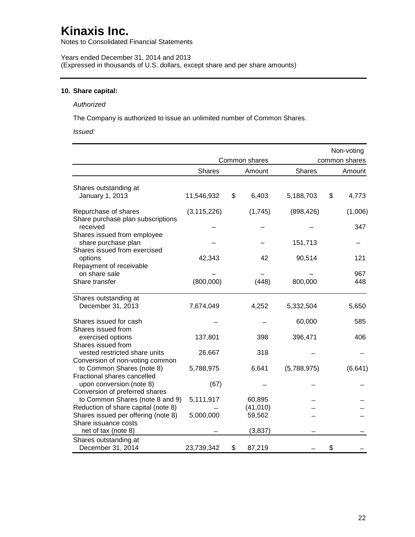Notes to Consolidated Financial Statements

Years ended December 31, 2014 and 2013 (Expressed in thousands of U.S. dollars, except share and per share amounts)

## **10. Share capital:**

#### *Authorized*

The Company is authorized to issue an unlimited number of Common Shares.

*Issued:*

|                                                                       |               |               |             | Non-voting     |
|-----------------------------------------------------------------------|---------------|---------------|-------------|----------------|
|                                                                       |               | Common shares |             | common shares  |
|                                                                       | <b>Shares</b> | Amount        | Shares      | Amount         |
| Shares outstanding at<br>January 1, 2013                              | 11,546,932    | \$<br>6,403   | 5,188,703   | \$<br>4,773    |
|                                                                       |               |               |             |                |
| Repurchase of shares<br>Share purchase plan subscriptions<br>received | (3, 115, 226) | (1,745)       | (898, 426)  | (1,006)<br>347 |
| Shares issued from employee<br>share purchase plan                    |               |               | 151,713     |                |
| Shares issued from exercised<br>options                               | 42,343        | 42            | 90,514      | 121            |
| Repayment of receivable<br>on share sale                              |               |               |             | 967            |
| Share transfer                                                        | (800,000)     | (448)         | 800,000     | 448            |
| Shares outstanding at                                                 |               |               |             |                |
| December 31, 2013                                                     | 7,674,049     | 4,252         | 5,332,504   | 5,650          |
| Shares issued for cash                                                |               |               | 60,000      | 585            |
| Shares issued from                                                    |               |               |             |                |
| exercised options<br>Shares issued from                               | 137,801       | 398           | 396,471     | 406            |
| vested restricted share units                                         | 26,667        | 318           |             |                |
| Conversion of non-voting common<br>to Common Shares (note 8)          | 5,788,975     | 6,641         | (5,788,975) | (6, 641)       |
| Fractional shares cancelled                                           |               |               |             |                |
| upon conversion (note 8)<br>Conversion of preferred shares            | (67)          |               |             |                |
| to Common Shares (note 8 and 9)                                       | 5,111,917     | 60,895        |             |                |
| Reduction of share capital (note 8)                                   |               | (41, 010)     |             |                |
| Shares issued per offering (note 8)                                   | 5,000,000     | 59,562        |             |                |
| Share issuance costs<br>net of tax (note 8)                           |               | (3, 837)      |             |                |
| Shares outstanding at                                                 |               |               |             |                |
| December 31, 2014                                                     | 23,739,342    | \$<br>87,219  |             | \$             |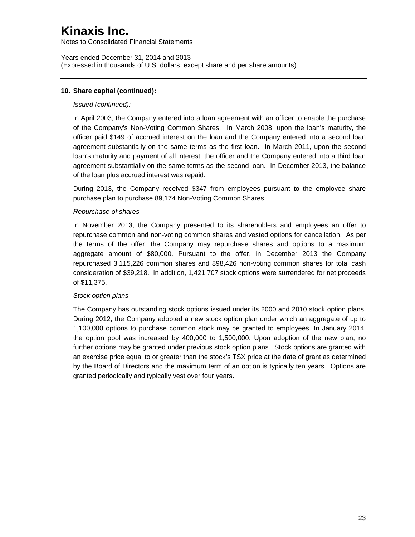Notes to Consolidated Financial Statements

Years ended December 31, 2014 and 2013 (Expressed in thousands of U.S. dollars, except share and per share amounts)

### **10. Share capital (continued):**

### *Issued (continued):*

In April 2003, the Company entered into a loan agreement with an officer to enable the purchase of the Company's Non-Voting Common Shares. In March 2008, upon the loan's maturity, the officer paid \$149 of accrued interest on the loan and the Company entered into a second loan agreement substantially on the same terms as the first loan. In March 2011, upon the second loan's maturity and payment of all interest, the officer and the Company entered into a third loan agreement substantially on the same terms as the second loan. In December 2013, the balance of the loan plus accrued interest was repaid.

During 2013, the Company received \$347 from employees pursuant to the employee share purchase plan to purchase 89,174 Non-Voting Common Shares.

### *Repurchase of shares*

In November 2013, the Company presented to its shareholders and employees an offer to repurchase common and non-voting common shares and vested options for cancellation. As per the terms of the offer, the Company may repurchase shares and options to a maximum aggregate amount of \$80,000. Pursuant to the offer, in December 2013 the Company repurchased 3,115,226 common shares and 898,426 non-voting common shares for total cash consideration of \$39,218. In addition, 1,421,707 stock options were surrendered for net proceeds of \$11,375.

### *Stock option plans*

The Company has outstanding stock options issued under its 2000 and 2010 stock option plans. During 2012, the Company adopted a new stock option plan under which an aggregate of up to 1,100,000 options to purchase common stock may be granted to employees. In January 2014, the option pool was increased by 400,000 to 1,500,000. Upon adoption of the new plan, no further options may be granted under previous stock option plans. Stock options are granted with an exercise price equal to or greater than the stock's TSX price at the date of grant as determined by the Board of Directors and the maximum term of an option is typically ten years. Options are granted periodically and typically vest over four years.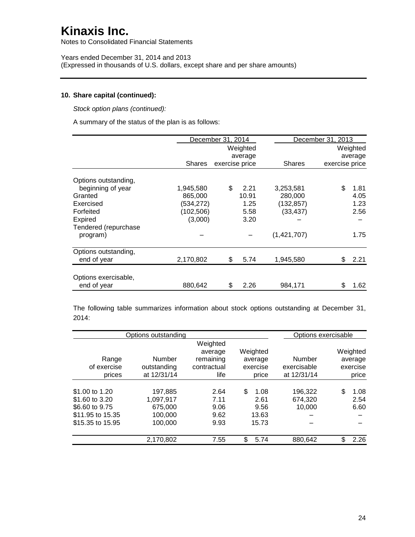Notes to Consolidated Financial Statements

Years ended December 31, 2014 and 2013 (Expressed in thousands of U.S. dollars, except share and per share amounts)

### **10. Share capital (continued):**

*Stock option plans (continued):*

A summary of the status of the plan is as follows:

|                      |               | December 31, 2014 |          |               | December 31, 2013 |          |  |
|----------------------|---------------|-------------------|----------|---------------|-------------------|----------|--|
|                      |               |                   | Weighted |               |                   | Weighted |  |
|                      |               |                   | average  |               |                   | average  |  |
|                      | <b>Shares</b> | exercise price    |          | <b>Shares</b> | exercise price    |          |  |
| Options outstanding, |               |                   |          |               |                   |          |  |
| beginning of year    | 1,945,580     | \$                | 2.21     | 3,253,581     | \$                | 1.81     |  |
| Granted              | 865,000       |                   | 10.91    | 280,000       |                   | 4.05     |  |
| Exercised            | (534, 272)    |                   | 1.25     | (132, 857)    |                   | 1.23     |  |
| Forfeited            | (102, 506)    |                   | 5.58     | (33,437)      |                   | 2.56     |  |
| Expired              | (3,000)       |                   | 3.20     |               |                   |          |  |
| Tendered (repurchase |               |                   |          |               |                   |          |  |
| program)             |               |                   |          | (1,421,707)   |                   | 1.75     |  |
| Options outstanding, |               |                   |          |               |                   |          |  |
| end of year          | 2,170,802     | \$                | 5.74     | 1,945,580     | S                 | 2.21     |  |
|                      |               |                   |          |               |                   |          |  |
| Options exercisable, |               |                   |          |               |                   |          |  |
| end of year          | 880.642       | \$                | 2.26     | 984,171       | \$                | 1.62     |  |

The following table summarizes information about stock options outstanding at December 31, 2014:

|             | Weighted<br>average                              | Weighted                                    |                                  |                                                        | Weighted                   |
|-------------|--------------------------------------------------|---------------------------------------------|----------------------------------|--------------------------------------------------------|----------------------------|
| Number      | remaining                                        | average                                     | Number                           |                                                        | average                    |
| outstanding | contractual                                      | exercise                                    | exercisable                      |                                                        | exercise                   |
|             | life                                             | price                                       |                                  |                                                        | price                      |
|             |                                                  |                                             |                                  |                                                        |                            |
|             |                                                  |                                             |                                  |                                                        | 1.08                       |
|             |                                                  |                                             |                                  |                                                        | 2.54                       |
| 675.000     | 9.06                                             | 9.56                                        |                                  |                                                        | 6.60                       |
| 100.000     | 9.62                                             | 13.63                                       |                                  |                                                        |                            |
| 100,000     | 9.93                                             | 15.73                                       |                                  |                                                        |                            |
|             |                                                  |                                             |                                  | £.                                                     | 2.26                       |
|             | at 12/31/14<br>197.885<br>1,097,917<br>2,170,802 | Options outstanding<br>2.64<br>7.11<br>7.55 | \$<br>1.08<br>2.61<br>\$<br>5.74 | at 12/31/14<br>196.322<br>674.320<br>10,000<br>880,642 | Options exercisable<br>\$. |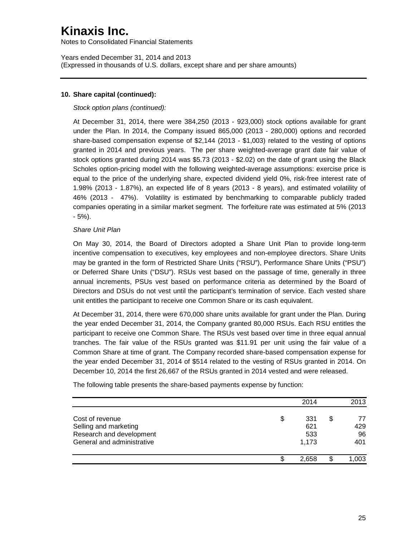Notes to Consolidated Financial Statements

Years ended December 31, 2014 and 2013 (Expressed in thousands of U.S. dollars, except share and per share amounts)

#### **10. Share capital (continued):**

#### *Stock option plans (continued):*

At December 31, 2014, there were 384,250 (2013 - 923,000) stock options available for grant under the Plan. In 2014, the Company issued 865,000 (2013 - 280,000) options and recorded share-based compensation expense of \$2,144 (2013 - \$1,003) related to the vesting of options granted in 2014 and previous years. The per share weighted-average grant date fair value of stock options granted during 2014 was \$5.73 (2013 - \$2.02) on the date of grant using the Black Scholes option-pricing model with the following weighted-average assumptions: exercise price is equal to the price of the underlying share, expected dividend yield 0%, risk-free interest rate of 1.98% (2013 - 1.87%), an expected life of 8 years (2013 - 8 years), and estimated volatility of 46% (2013 - 47%). Volatility is estimated by benchmarking to comparable publicly traded companies operating in a similar market segment. The forfeiture rate was estimated at 5% (2013 - 5%).

#### *Share Unit Plan*

On May 30, 2014, the Board of Directors adopted a Share Unit Plan to provide long-term incentive compensation to executives, key employees and non-employee directors. Share Units may be granted in the form of Restricted Share Units ("RSU"), Performance Share Units ("PSU") or Deferred Share Units ("DSU"). RSUs vest based on the passage of time, generally in three annual increments, PSUs vest based on performance criteria as determined by the Board of Directors and DSUs do not vest until the participant's termination of service. Each vested share unit entitles the participant to receive one Common Share or its cash equivalent.

At December 31, 2014, there were 670,000 share units available for grant under the Plan. During the year ended December 31, 2014, the Company granted 80,000 RSUs. Each RSU entitles the participant to receive one Common Share. The RSUs vest based over time in three equal annual tranches. The fair value of the RSUs granted was \$11.91 per unit using the fair value of a Common Share at time of grant. The Company recorded share-based compensation expense for the year ended December 31, 2014 of \$514 related to the vesting of RSUs granted in 2014. On December 10, 2014 the first 26,667 of the RSUs granted in 2014 vested and were released.

|                            | 2014      | 2013     |
|----------------------------|-----------|----------|
| Cost of revenue            | \$<br>331 | \$<br>77 |
| Selling and marketing      | 621       | 429      |
| Research and development   | 533       | 96       |
| General and administrative | 1,173     | 401      |
|                            | 2.658     | .003     |
|                            |           |          |

The following table presents the share-based payments expense by function: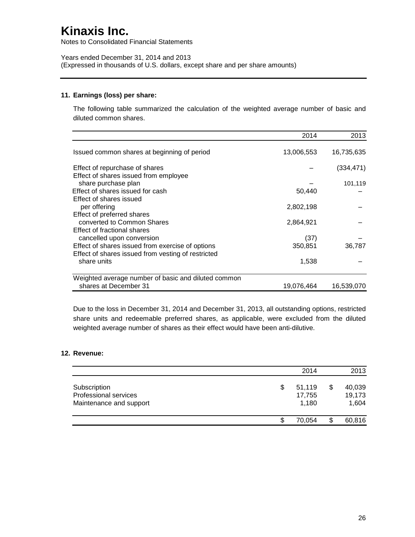Notes to Consolidated Financial Statements

Years ended December 31, 2014 and 2013 (Expressed in thousands of U.S. dollars, except share and per share amounts)

### **11. Earnings (loss) per share:**

The following table summarized the calculation of the weighted average number of basic and diluted common shares.

|                                                     | 2014       | 2013       |
|-----------------------------------------------------|------------|------------|
| Issued common shares at beginning of period         | 13,006,553 | 16,735,635 |
| Effect of repurchase of shares                      |            | (334, 471) |
| Effect of shares issued from employee               |            |            |
| share purchase plan                                 |            | 101,119    |
| Effect of shares issued for cash                    | 50,440     |            |
| Effect of shares issued                             |            |            |
| per offering                                        | 2,802,198  |            |
| Effect of preferred shares                          |            |            |
| converted to Common Shares                          | 2,864,921  |            |
| Effect of fractional shares                         |            |            |
| cancelled upon conversion                           | (37)       |            |
| Effect of shares issued from exercise of options    | 350,851    | 36,787     |
| Effect of shares issued from vesting of restricted  |            |            |
| share units                                         | 1,538      |            |
| Weighted average number of basic and diluted common |            |            |
| shares at December 31                               | 19,076,464 | 16,539,070 |

Due to the loss in December 31, 2014 and December 31, 2013, all outstanding options, restricted share units and redeemable preferred shares, as applicable, were excluded from the diluted weighted average number of shares as their effect would have been anti-dilutive.

### **12. Revenue:**

|                                                                  |   | 2014                      | 2013                            |
|------------------------------------------------------------------|---|---------------------------|---------------------------------|
| Subscription<br>Professional services<br>Maintenance and support | S | 51,119<br>17,755<br>1,180 | \$<br>40,039<br>19,173<br>1,604 |
|                                                                  |   | 70.054                    | 60,816                          |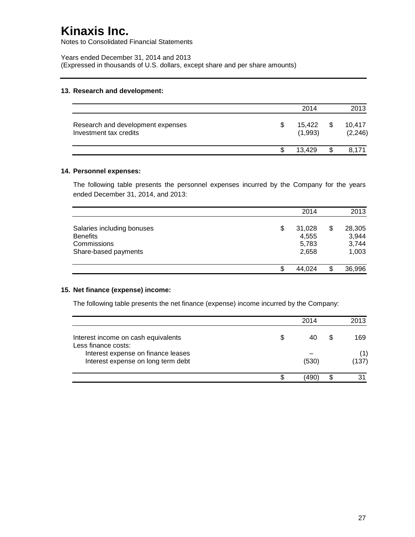Notes to Consolidated Financial Statements

Years ended December 31, 2014 and 2013 (Expressed in thousands of U.S. dollars, except share and per share amounts)

### **13. Research and development:**

|                                                             | 2014              |    | 2013               |
|-------------------------------------------------------------|-------------------|----|--------------------|
| Research and development expenses<br>Investment tax credits | 15.422<br>(1,993) | S  | 10,417<br>(2, 246) |
|                                                             | 13.429            | \$ | 8.171              |

#### **14. Personnel expenses:**

The following table presents the personnel expenses incurred by the Company for the years ended December 31, 2014, and 2013:

|                                                                                      | 2014                                    | 2013                                    |
|--------------------------------------------------------------------------------------|-----------------------------------------|-----------------------------------------|
| Salaries including bonuses<br><b>Benefits</b><br>Commissions<br>Share-based payments | \$<br>31,028<br>4,555<br>5,783<br>2,658 | \$<br>28,305<br>3,944<br>3,744<br>1,003 |
|                                                                                      | 44.024                                  | \$<br>36,996                            |

### **15. Net finance (expense) income:**

The following table presents the net finance (expense) income incurred by the Company:

|                                                                          | 2014  | 2013         |
|--------------------------------------------------------------------------|-------|--------------|
| Interest income on cash equivalents<br>Less finance costs:               |       | 169          |
| Interest expense on finance leases<br>Interest expense on long term debt | (530) | (1)<br>(137) |
|                                                                          | 490)  |              |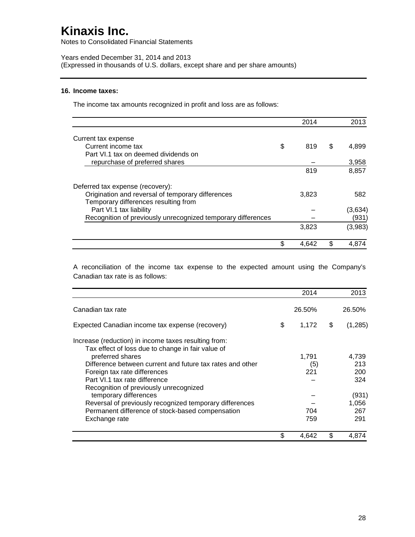Notes to Consolidated Financial Statements

Years ended December 31, 2014 and 2013 (Expressed in thousands of U.S. dollars, except share and per share amounts)

#### **16. Income taxes:**

The income tax amounts recognized in profit and loss are as follows:

|                                                                                           |   | 2014  |    | 2013    |
|-------------------------------------------------------------------------------------------|---|-------|----|---------|
| Current tax expense                                                                       |   |       |    |         |
| Current income tax                                                                        | S | 819   | S  | 4,899   |
| Part VI.1 tax on deemed dividends on                                                      |   |       |    |         |
| repurchase of preferred shares                                                            |   |       |    | 3,958   |
|                                                                                           |   | 819   |    | 8,857   |
| Deferred tax expense (recovery):                                                          |   |       |    |         |
| Origination and reversal of temporary differences<br>Temporary differences resulting from |   | 3,823 |    | 582     |
| Part VI.1 tax liability                                                                   |   |       |    | (3,634) |
| Recognition of previously unrecognized temporary differences                              |   |       |    | (931)   |
|                                                                                           |   | 3,823 |    | (3,983) |
|                                                                                           |   | 4.642 | \$ | 4.874   |

A reconciliation of the income tax expense to the expected amount using the Company's Canadian tax rate is as follows:

|                                                                                                           | 2014        | 2013           |
|-----------------------------------------------------------------------------------------------------------|-------------|----------------|
| Canadian tax rate                                                                                         | 26.50%      | 26.50%         |
| Expected Canadian income tax expense (recovery)                                                           | \$<br>1,172 | \$<br>(1, 285) |
| Increase (reduction) in income taxes resulting from:<br>Tax effect of loss due to change in fair value of |             |                |
| preferred shares                                                                                          | 1,791       | 4,739          |
| Difference between current and future tax rates and other                                                 | (5)         | 213            |
| Foreign tax rate differences                                                                              | 221         | 200            |
| Part VI.1 tax rate difference                                                                             |             | 324            |
| Recognition of previously unrecognized                                                                    |             |                |
| temporary differences                                                                                     |             | (931)          |
| Reversal of previously recognized temporary differences                                                   |             | 1,056          |
| Permanent difference of stock-based compensation                                                          | 704         | 267            |
| Exchange rate                                                                                             | 759         | 291            |
|                                                                                                           | \$<br>4.642 | \$<br>4,874    |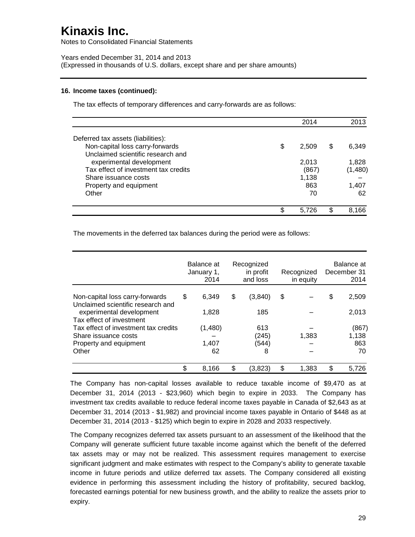Notes to Consolidated Financial Statements

Years ended December 31, 2014 and 2013 (Expressed in thousands of U.S. dollars, except share and per share amounts)

#### **16. Income taxes (continued):**

The tax effects of temporary differences and carry-forwards are as follows:

|                                      |   | 2014  | 2013        |
|--------------------------------------|---|-------|-------------|
| Deferred tax assets (liabilities):   |   |       |             |
| Non-capital loss carry-forwards      | S | 2,509 | \$<br>6,349 |
| Unclaimed scientific research and    |   |       |             |
| experimental development             |   | 2,013 | 1,828       |
| Tax effect of investment tax credits |   | (867) | (1,480)     |
| Share issuance costs                 |   | 1,138 |             |
| Property and equipment               |   | 863   | 1,407       |
| Other                                |   | 70    | 62          |
|                                      |   |       |             |
|                                      |   | 5.726 | 8,166       |

The movements in the deferred tax balances during the period were as follows:

|                                                                      | Balance at<br>January 1,<br>2014 | Recognized<br>in profit<br>and loss | Recognized<br>in equity | Balance at<br>December 31<br>2014 |
|----------------------------------------------------------------------|----------------------------------|-------------------------------------|-------------------------|-----------------------------------|
| Non-capital loss carry-forwards<br>Unclaimed scientific research and | \$<br>6.349                      | \$<br>(3,840)                       | \$                      | \$<br>2,509                       |
| experimental development<br>Tax effect of investment                 | 1,828                            | 185                                 |                         | 2,013                             |
| Tax effect of investment tax credits                                 | (1,480)                          | 613                                 |                         | (867)                             |
| Share issuance costs                                                 |                                  | (245)                               | 1,383                   | 1,138                             |
| Property and equipment                                               | 1,407                            | (544)                               |                         | 863                               |
| Other                                                                | 62                               | 8                                   |                         | 70                                |
|                                                                      | \$<br>8.166                      | \$<br>(3,823)                       | \$<br>1,383             | \$<br>5.726                       |

The Company has non-capital losses available to reduce taxable income of \$9,470 as at December 31, 2014 (2013 - \$23,960) which begin to expire in 2033. The Company has investment tax credits available to reduce federal income taxes payable in Canada of \$2,643 as at December 31, 2014 (2013 - \$1,982) and provincial income taxes payable in Ontario of \$448 as at December 31, 2014 (2013 - \$125) which begin to expire in 2028 and 2033 respectively.

The Company recognizes deferred tax assets pursuant to an assessment of the likelihood that the Company will generate sufficient future taxable income against which the benefit of the deferred tax assets may or may not be realized. This assessment requires management to exercise significant judgment and make estimates with respect to the Company's ability to generate taxable income in future periods and utilize deferred tax assets. The Company considered all existing evidence in performing this assessment including the history of profitability, secured backlog, forecasted earnings potential for new business growth, and the ability to realize the assets prior to expiry.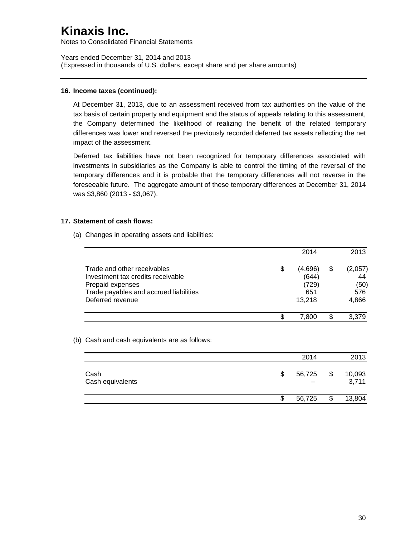Notes to Consolidated Financial Statements

Years ended December 31, 2014 and 2013 (Expressed in thousands of U.S. dollars, except share and per share amounts)

### **16. Income taxes (continued):**

At December 31, 2013, due to an assessment received from tax authorities on the value of the tax basis of certain property and equipment and the status of appeals relating to this assessment, the Company determined the likelihood of realizing the benefit of the related temporary differences was lower and reversed the previously recorded deferred tax assets reflecting the net impact of the assessment.

Deferred tax liabilities have not been recognized for temporary differences associated with investments in subsidiaries as the Company is able to control the timing of the reversal of the temporary differences and it is probable that the temporary differences will not reverse in the foreseeable future. The aggregate amount of these temporary differences at December 31, 2014 was \$3,860 (2013 - \$3,067).

### **17. Statement of cash flows:**

(a) Changes in operating assets and liabilities:

|                                                                                                                                                    |    | 2014                                       | 2013                                        |
|----------------------------------------------------------------------------------------------------------------------------------------------------|----|--------------------------------------------|---------------------------------------------|
| Trade and other receivables<br>Investment tax credits receivable<br>Prepaid expenses<br>Trade payables and accrued liabilities<br>Deferred revenue | \$ | (4,696)<br>(644)<br>(729)<br>651<br>13.218 | \$<br>(2,057)<br>44<br>(50)<br>576<br>4,866 |
|                                                                                                                                                    | S  | 7.800                                      | 3.379                                       |

### (b) Cash and cash equivalents are as follows:

|                          | 2014         | 2013                  |
|--------------------------|--------------|-----------------------|
| Cash<br>Cash equivalents | \$<br>56,725 | \$<br>10,093<br>3,711 |
|                          | \$<br>56,725 | \$<br>13,804          |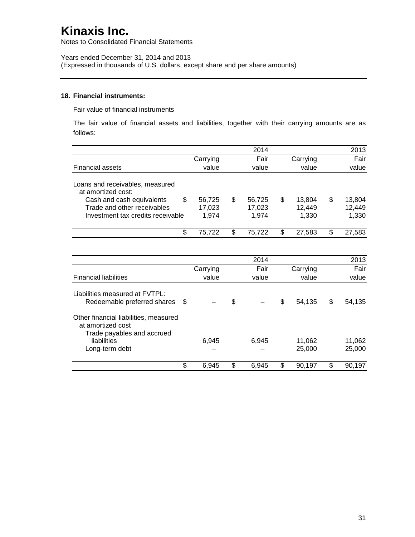Notes to Consolidated Financial Statements

Years ended December 31, 2014 and 2013 (Expressed in thousands of U.S. dollars, except share and per share amounts)

#### **18. Financial instruments:**

#### Fair value of financial instruments

The fair value of financial assets and liabilities, together with their carrying amounts are as follows:

|                                                                                          |          | 2014         |              | 2013         |
|------------------------------------------------------------------------------------------|----------|--------------|--------------|--------------|
|                                                                                          | Carrying | Fair         | Carrying     | Fair         |
| <b>Financial assets</b>                                                                  | value    | value        | value        | value        |
|                                                                                          |          |              |              |              |
| Loans and receivables, measured<br>at amortized cost:                                    |          |              |              |              |
| \$<br>Cash and cash equivalents                                                          | 56,725   | \$<br>56,725 | \$<br>13,804 | \$<br>13,804 |
| Trade and other receivables                                                              | 17,023   | 17,023       | 12,449       | 12,449       |
| Investment tax credits receivable                                                        | 1,974    | 1,974        | 1,330        | 1,330        |
| \$                                                                                       | 75,722   | \$<br>75,722 | \$<br>27,583 | \$<br>27,583 |
|                                                                                          |          |              |              |              |
|                                                                                          |          | 2014         |              | 2013         |
|                                                                                          | Carrying | Fair         | Carrying     | Fair         |
| <b>Financial liabilities</b>                                                             | value    | value        | value        | value        |
| Liabilities measured at FVTPL:                                                           |          |              |              |              |
| \$<br>Redeemable preferred shares                                                        |          | \$           | \$<br>54,135 | \$<br>54,135 |
| Other financial liabilities, measured<br>at amortized cost<br>Trade payables and accrued |          |              |              |              |
| liabilities                                                                              | 6,945    | 6,945        | 11,062       | 11,062       |
| Long-term debt                                                                           |          |              | 25,000       | 25,000       |
| \$                                                                                       | 6,945    | \$<br>6,945  | \$<br>90,197 | \$<br>90,197 |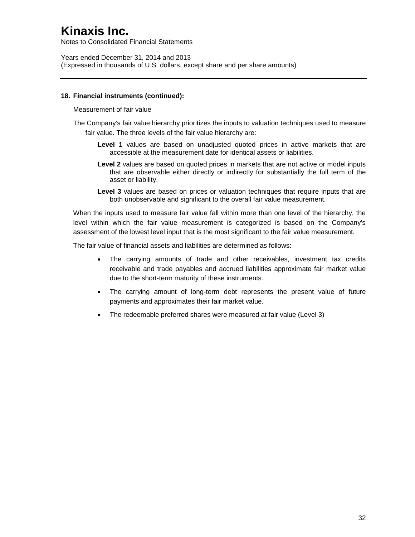Notes to Consolidated Financial Statements

Years ended December 31, 2014 and 2013 (Expressed in thousands of U.S. dollars, except share and per share amounts)

#### **18. Financial instruments (continued):**

#### Measurement of fair value

The Company's fair value hierarchy prioritizes the inputs to valuation techniques used to measure fair value. The three levels of the fair value hierarchy are:

- Level 1 values are based on unadjusted quoted prices in active markets that are accessible at the measurement date for identical assets or liabilities.
- **Level 2** values are based on quoted prices in markets that are not active or model inputs that are observable either directly or indirectly for substantially the full term of the asset or liability.
- Level 3 values are based on prices or valuation techniques that require inputs that are both unobservable and significant to the overall fair value measurement.

When the inputs used to measure fair value fall within more than one level of the hierarchy, the level within which the fair value measurement is categorized is based on the Company's assessment of the lowest level input that is the most significant to the fair value measurement.

The fair value of financial assets and liabilities are determined as follows:

- The carrying amounts of trade and other receivables, investment tax credits receivable and trade payables and accrued liabilities approximate fair market value due to the short-term maturity of these instruments.
- The carrying amount of long-term debt represents the present value of future payments and approximates their fair market value.
- The redeemable preferred shares were measured at fair value (Level 3)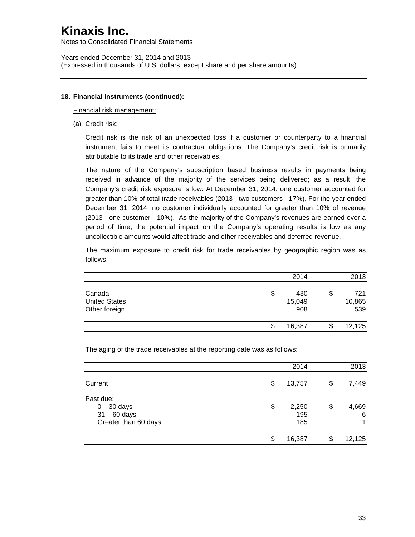Notes to Consolidated Financial Statements

Years ended December 31, 2014 and 2013 (Expressed in thousands of U.S. dollars, except share and per share amounts)

#### **18. Financial instruments (continued):**

Financial risk management:

(a) Credit risk:

Credit risk is the risk of an unexpected loss if a customer or counterparty to a financial instrument fails to meet its contractual obligations. The Company's credit risk is primarily attributable to its trade and other receivables.

The nature of the Company's subscription based business results in payments being received in advance of the majority of the services being delivered; as a result, the Company's credit risk exposure is low. At December 31, 2014, one customer accounted for greater than 10% of total trade receivables (2013 - two customers - 17%). For the year ended December 31, 2014, no customer individually accounted for greater than 10% of revenue (2013 - one customer - 10%). As the majority of the Company's revenues are earned over a period of time, the potential impact on the Company's operating results is low as any uncollectible amounts would affect trade and other receivables and deferred revenue.

The maximum exposure to credit risk for trade receivables by geographic region was as follows:

|                                                 |    | 2014                 | 2013                       |
|-------------------------------------------------|----|----------------------|----------------------------|
| Canada<br><b>United States</b><br>Other foreign | \$ | 430<br>15,049<br>908 | \$<br>721<br>10,865<br>539 |
|                                                 | S  | 16,387               | 12,125                     |

The aging of the trade receivables at the reporting date was as follows:

|                                                                      | 2014                      |    | 2013            |
|----------------------------------------------------------------------|---------------------------|----|-----------------|
| Current                                                              | \$<br>13,757              | \$ | 7,449           |
| Past due:<br>$0 - 30$ days<br>$31 - 60$ days<br>Greater than 60 days | \$<br>2,250<br>195<br>185 | \$ | 4,669<br>6<br>1 |
|                                                                      | \$<br>16,387              | S  | 12,125          |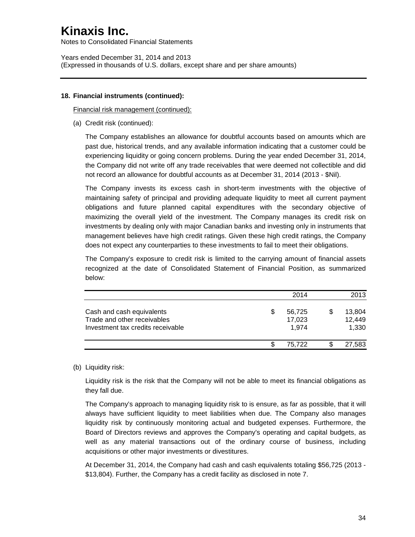Notes to Consolidated Financial Statements

Years ended December 31, 2014 and 2013 (Expressed in thousands of U.S. dollars, except share and per share amounts)

#### **18. Financial instruments (continued):**

Financial risk management (continued):

(a) Credit risk (continued):

The Company establishes an allowance for doubtful accounts based on amounts which are past due, historical trends, and any available information indicating that a customer could be experiencing liquidity or going concern problems. During the year ended December 31, 2014, the Company did not write off any trade receivables that were deemed not collectible and did not record an allowance for doubtful accounts as at December 31, 2014 (2013 - \$Nil).

The Company invests its excess cash in short-term investments with the objective of maintaining safety of principal and providing adequate liquidity to meet all current payment obligations and future planned capital expenditures with the secondary objective of maximizing the overall yield of the investment. The Company manages its credit risk on investments by dealing only with major Canadian banks and investing only in instruments that management believes have high credit ratings. Given these high credit ratings, the Company does not expect any counterparties to these investments to fail to meet their obligations.

The Company's exposure to credit risk is limited to the carrying amount of financial assets recognized at the date of Consolidated Statement of Financial Position, as summarized below:

|                                                                                               |   | 2014                      | 2013                      |
|-----------------------------------------------------------------------------------------------|---|---------------------------|---------------------------|
| Cash and cash equivalents<br>Trade and other receivables<br>Investment tax credits receivable | S | 56,725<br>17,023<br>1.974 | 13,804<br>12,449<br>1,330 |
|                                                                                               |   | 75.722                    | 27,583                    |

### (b) Liquidity risk:

Liquidity risk is the risk that the Company will not be able to meet its financial obligations as they fall due.

The Company's approach to managing liquidity risk to is ensure, as far as possible, that it will always have sufficient liquidity to meet liabilities when due. The Company also manages liquidity risk by continuously monitoring actual and budgeted expenses. Furthermore, the Board of Directors reviews and approves the Company's operating and capital budgets, as well as any material transactions out of the ordinary course of business, including acquisitions or other major investments or divestitures.

At December 31, 2014, the Company had cash and cash equivalents totaling \$56,725 (2013 - \$13,804). Further, the Company has a credit facility as disclosed in note 7.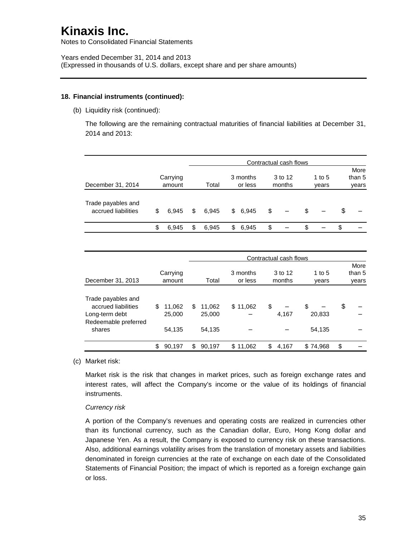Notes to Consolidated Financial Statements

#### **18. Financial instruments (continued):**

(b) Liquidity risk (continued):

The following are the remaining contractual maturities of financial liabilities at December 31, 2014 and 2013:

|                                           |                    |             |                     | Contractual cash flows |    |                   |                         |
|-------------------------------------------|--------------------|-------------|---------------------|------------------------|----|-------------------|-------------------------|
| December 31, 2014                         | Carrying<br>amount | Total       | 3 months<br>or less | 3 to 12<br>months      |    | 1 to $5$<br>years | More<br>than 5<br>years |
| Trade payables and<br>accrued liabilities | \$<br>6.945        | \$<br>6.945 | \$6,945             | \$                     | S  |                   | \$                      |
|                                           | \$<br>6.945        | \$<br>6.945 | \$<br>6.945         | \$                     | \$ |                   | \$                      |

|                      |              |     | Contractual cash flows |          |             |          |    |        |
|----------------------|--------------|-----|------------------------|----------|-------------|----------|----|--------|
|                      |              |     |                        |          |             |          |    | More   |
|                      | Carrying     |     |                        | 3 months | 3 to 12     | 1 to $5$ |    | than 5 |
| December 31, 2013    | amount       |     | Total                  | or less  | months      | vears    |    | years  |
|                      |              |     |                        |          |             |          |    |        |
| Trade payables and   |              |     |                        |          |             |          |    |        |
| accrued liabilities  | 11.062<br>\$ | \$. | 11.062                 | \$11,062 | \$          | \$       | \$ |        |
| Long-term debt       | 25,000       |     | 25,000                 |          | 4,167       | 20,833   |    |        |
| Redeemable preferred |              |     |                        |          |             |          |    |        |
| shares               | 54,135       |     | 54.135                 |          |             | 54,135   |    |        |
|                      |              |     |                        |          |             |          |    |        |
|                      | \$<br>90,197 | \$  | 90,197                 | \$11,062 | \$<br>4,167 | \$74,968 | \$ |        |

(c) Market risk:

Market risk is the risk that changes in market prices, such as foreign exchange rates and interest rates, will affect the Company's income or the value of its holdings of financial instruments.

#### *Currency risk*

A portion of the Company's revenues and operating costs are realized in currencies other than its functional currency, such as the Canadian dollar, Euro, Hong Kong dollar and Japanese Yen. As a result, the Company is exposed to currency risk on these transactions. Also, additional earnings volatility arises from the translation of monetary assets and liabilities denominated in foreign currencies at the rate of exchange on each date of the Consolidated Statements of Financial Position; the impact of which is reported as a foreign exchange gain or loss.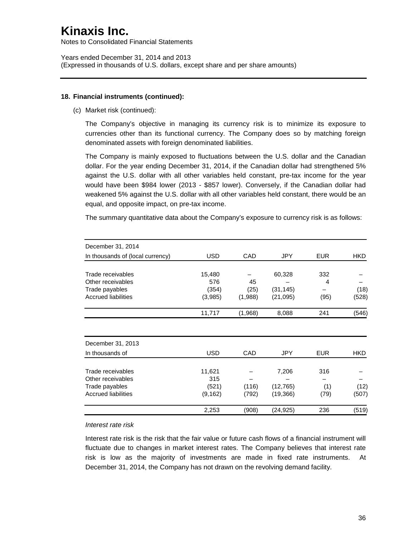Notes to Consolidated Financial Statements

Years ended December 31, 2014 and 2013 (Expressed in thousands of U.S. dollars, except share and per share amounts)

#### **18. Financial instruments (continued):**

(c) Market risk (continued):

The Company's objective in managing its currency risk is to minimize its exposure to currencies other than its functional currency. The Company does so by matching foreign denominated assets with foreign denominated liabilities.

The Company is mainly exposed to fluctuations between the U.S. dollar and the Canadian dollar. For the year ending December 31, 2014, if the Canadian dollar had strengthened 5% against the U.S. dollar with all other variables held constant, pre-tax income for the year would have been \$984 lower (2013 - \$857 lower). Conversely, if the Canadian dollar had weakened 5% against the U.S. dollar with all other variables held constant, there would be an equal, and opposite impact, on pre-tax income.

The summary quantitative data about the Company's exposure to currency risk is as follows:

| USD        | CAD                    | <b>JPY</b> | <b>EUR</b>         | <b>HKD</b> |
|------------|------------------------|------------|--------------------|------------|
|            |                        |            |                    |            |
| 15,480     |                        | 60,328     | 332                |            |
| 576        | 45                     |            | 4                  |            |
| (354)      | (25)                   | (31, 145)  |                    | (18)       |
| (3,985)    | (1,988)                | (21, 095)  | (95)               | (528)      |
| 11,717     | (1,968)                | 8,088      | 241                | (546)      |
|            |                        |            |                    |            |
|            |                        |            |                    |            |
| <b>USD</b> | CAD                    | <b>JPY</b> | <b>EUR</b>         | <b>HKD</b> |
|            |                        |            |                    |            |
|            |                        |            |                    |            |
|            |                        |            |                    | (12)       |
| (9, 162)   | (792)                  | (19, 366)  | (79)               | (507)      |
| 2,253      | (908)                  | (24,925)   | 236                | (519)      |
|            | 11,621<br>315<br>(521) | (116)      | 7,206<br>(12, 765) | 316<br>(1) |

*Interest rate risk*

Interest rate risk is the risk that the fair value or future cash flows of a financial instrument will fluctuate due to changes in market interest rates. The Company believes that interest rate risk is low as the majority of investments are made in fixed rate instruments. At December 31, 2014, the Company has not drawn on the revolving demand facility.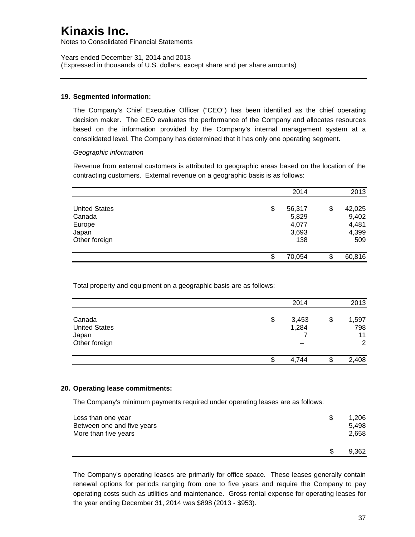Notes to Consolidated Financial Statements

Years ended December 31, 2014 and 2013 (Expressed in thousands of U.S. dollars, except share and per share amounts)

#### **19. Segmented information:**

The Company's Chief Executive Officer ("CEO") has been identified as the chief operating decision maker. The CEO evaluates the performance of the Company and allocates resources based on the information provided by the Company's internal management system at a consolidated level. The Company has determined that it has only one operating segment.

#### *Geographic information*

Revenue from external customers is attributed to geographic areas based on the location of the contracting customers. External revenue on a geographic basis is as follows:

|                                  | 2014                  | 2013                  |
|----------------------------------|-----------------------|-----------------------|
| <b>United States</b><br>Canada   | \$<br>56,317<br>5,829 | \$<br>42,025<br>9,402 |
| Europe<br>Japan<br>Other foreign | 4,077<br>3,693<br>138 | 4,481<br>4,399<br>509 |
|                                  | \$<br>70,054          | \$<br>60,816          |

Total property and equipment on a geographic basis are as follows:

|                      | 2014        | 2013        |
|----------------------|-------------|-------------|
| Canada               | \$<br>3,453 | \$<br>1,597 |
| <b>United States</b> | 1,284       | 798         |
| Japan                |             | 11          |
| Other foreign        |             | 2           |
|                      | \$<br>4,744 | \$<br>2,408 |

#### **20. Operating lease commitments:**

The Company's minimum payments required under operating leases are as follows:

| Less than one year<br>Between one and five years<br>More than five years | \$. | 1,206<br>5.498<br>2,658 |
|--------------------------------------------------------------------------|-----|-------------------------|
|                                                                          |     | 9.362                   |

The Company's operating leases are primarily for office space. These leases generally contain renewal options for periods ranging from one to five years and require the Company to pay operating costs such as utilities and maintenance. Gross rental expense for operating leases for the year ending December 31, 2014 was \$898 (2013 - \$953).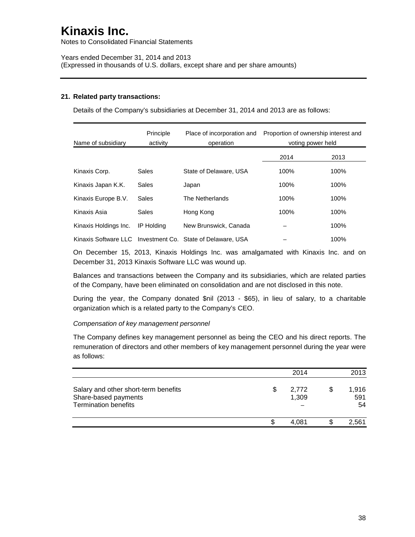Notes to Consolidated Financial Statements

Years ended December 31, 2014 and 2013 (Expressed in thousands of U.S. dollars, except share and per share amounts)

### **21. Related party transactions:**

Details of the Company's subsidiaries at December 31, 2014 and 2013 are as follows:

| Name of subsidiary    | Principle<br>activity | Place of incorporation and<br>operation                    | Proportion of ownership interest and<br>voting power held |      |  |
|-----------------------|-----------------------|------------------------------------------------------------|-----------------------------------------------------------|------|--|
|                       |                       |                                                            | 2014                                                      | 2013 |  |
| Kinaxis Corp.         | Sales                 | State of Delaware, USA                                     | 100%                                                      | 100% |  |
| Kinaxis Japan K.K.    | Sales                 | Japan                                                      | 100%                                                      | 100% |  |
| Kinaxis Europe B.V.   | Sales                 | The Netherlands                                            | 100%                                                      | 100% |  |
| Kinaxis Asia          | Sales                 | Hong Kong                                                  | 100%                                                      | 100% |  |
| Kinaxis Holdings Inc. | IP Holding            | New Brunswick, Canada                                      |                                                           | 100% |  |
|                       |                       | Kinaxis Software LLC Investment Co. State of Delaware. USA |                                                           | 100% |  |

On December 15, 2013, Kinaxis Holdings Inc. was amalgamated with Kinaxis Inc. and on December 31, 2013 Kinaxis Software LLC was wound up.

Balances and transactions between the Company and its subsidiaries, which are related parties of the Company, have been eliminated on consolidation and are not disclosed in this note.

During the year, the Company donated \$nil (2013 - \$65), in lieu of salary, to a charitable organization which is a related party to the Company's CEO.

#### *Compensation of key management personnel*

The Company defines key management personnel as being the CEO and his direct reports. The remuneration of directors and other members of key management personnel during the year were as follows:

| <b>Termination benefits</b>                                  |                      | 54                 |
|--------------------------------------------------------------|----------------------|--------------------|
| Salary and other short-term benefits<br>Share-based payments | \$<br>2,772<br>1,309 | \$<br>1,916<br>591 |
|                                                              | 2014                 | 2013               |